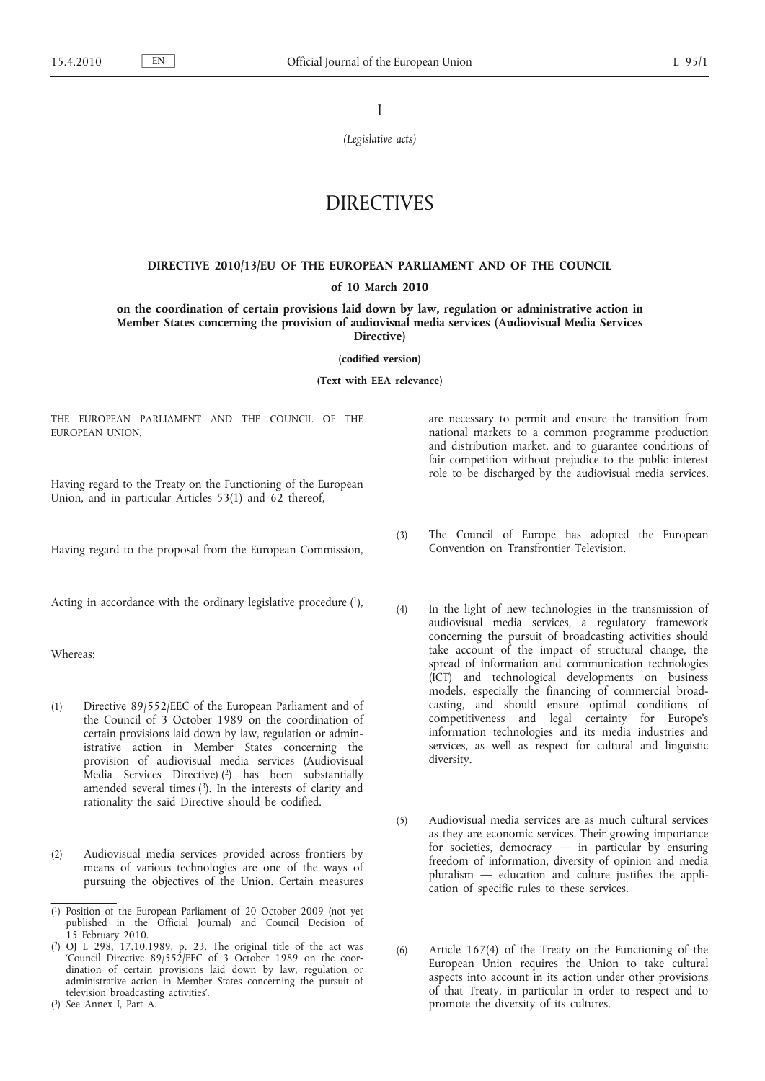I

*(Legislative acts)*

# DIRECTIVES

### **DIRECTIVE 2010/13/EU OF THE EUROPEAN PARLIAMENT AND OF THE COUNCIL**

#### **of 10 March 2010**

**on the coordination of certain provisions laid down by law, regulation or administrative action in Member States concerning the provision of audiovisual media services (Audiovisual Media Services Directive)**

#### **(codified version)**

#### **(Text with EEA relevance)**

THE EUROPEAN PARLIAMENT AND THE COUNCIL OF THE EUROPEAN UNION,

Having regard to the Treaty on the Functioning of the European Union, and in particular Articles 53(1) and 62 thereof,

Having regard to the proposal from the European Commission,

Acting in accordance with the ordinary legislative procedure (1),

Whereas:

- (1) Directive 89/552/EEC of the European Parliament and of the Council of 3 October 1989 on the coordination of certain provisions laid down by law, regulation or administrative action in Member States concerning the provision of audiovisual media services (Audiovisual Media Services Directive) (2) has been substantially amended several times  $(3)$ . In the interests of clarity and rationality the said Directive should be codified.
- (2) Audiovisual media services provided across frontiers by means of various technologies are one of the ways of pursuing the objectives of the Union. Certain measures

( 2) OJ L 298, 17.10.1989, p. 23. The original title of the act was 'Council Directive 89/552/EEC of 3 October 1989 on the coordination of certain provisions laid down by law, regulation or administrative action in Member States concerning the pursuit of television broadcasting activities'.

are necessary to permit and ensure the transition from national markets to a common programme production and distribution market, and to guarantee conditions of fair competition without prejudice to the public interest role to be discharged by the audiovisual media services.

- (3) The Council of Europe has adopted the European Convention on Transfrontier Television.
- (4) In the light of new technologies in the transmission of audiovisual media services, a regulatory framework concerning the pursuit of broadcasting activities should take account of the impact of structural change, the spread of information and communication technologies (ICT) and technological developments on business models, especially the financing of commercial broadcasting, and should ensure optimal conditions of competitiveness and legal certainty for Europe's information technologies and its media industries and services, as well as respect for cultural and linguistic diversity.
- (5) Audiovisual media services are as much cultural services as they are economic services. Their growing importance for societies, democracy — in particular by ensuring freedom of information, diversity of opinion and media pluralism — education and culture justifies the application of specific rules to these services.
- (6) Article 167(4) of the Treaty on the Functioning of the European Union requires the Union to take cultural aspects into account in its action under other provisions of that Treaty, in particular in order to respect and to promote the diversity of its cultures.

<sup>(</sup> 1) Position of the European Parliament of 20 October 2009 (not yet published in the Official Journal) and Council Decision of 15 February 2010.

<sup>(</sup> 3) See Annex I, Part A.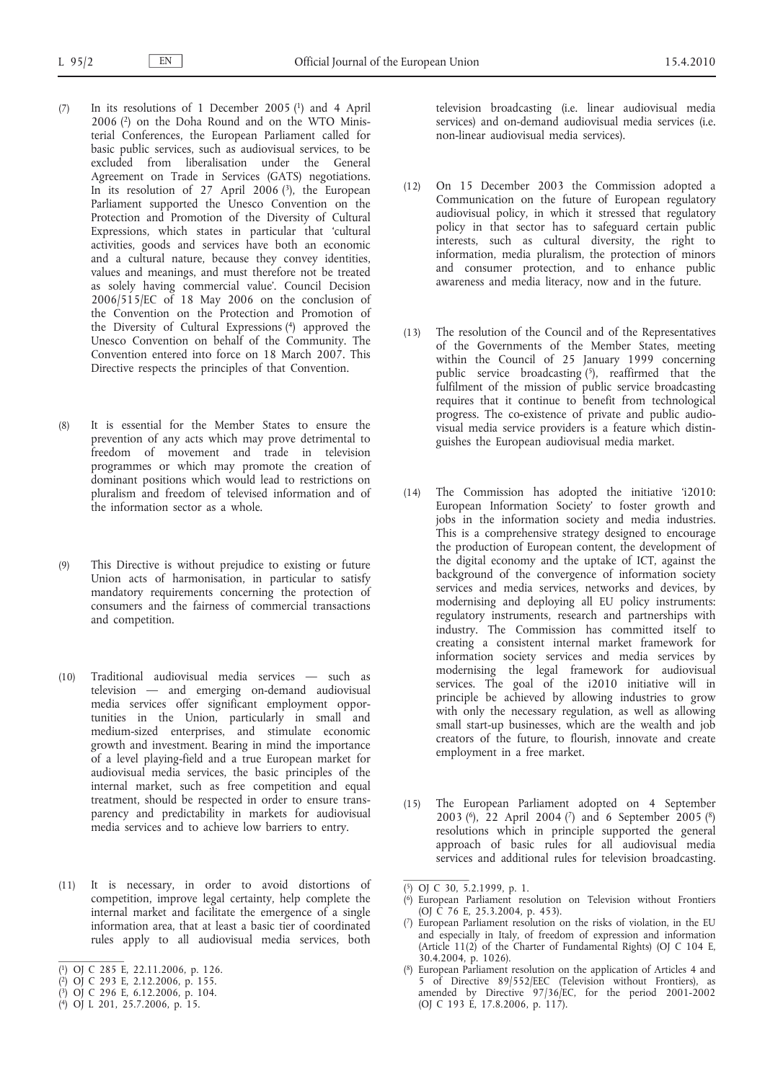- (7) In its resolutions of 1 December 2005 (1) and 4 April 2006 (2) on the Doha Round and on the WTO Ministerial Conferences, the European Parliament called for basic public services, such as audiovisual services, to be excluded from liberalisation under the General Agreement on Trade in Services (GATS) negotiations. In its resolution of 27 April 2006  $(3)$ , the European Parliament supported the Unesco Convention on the Protection and Promotion of the Diversity of Cultural Expressions, which states in particular that 'cultural activities, goods and services have both an economic and a cultural nature, because they convey identities, values and meanings, and must therefore not be treated as solely having commercial value'. Council Decision 2006/515/EC of 18 May 2006 on the conclusion of the Convention on the Protection and Promotion of the Diversity of Cultural Expressions (4) approved the Unesco Convention on behalf of the Community. The Convention entered into force on 18 March 2007. This Directive respects the principles of that Convention.
- (8) It is essential for the Member States to ensure the prevention of any acts which may prove detrimental to freedom of movement and trade in television programmes or which may promote the creation of dominant positions which would lead to restrictions on pluralism and freedom of televised information and of the information sector as a whole.
- (9) This Directive is without prejudice to existing or future Union acts of harmonisation, in particular to satisfy mandatory requirements concerning the protection of consumers and the fairness of commercial transactions and competition.
- (10) Traditional audiovisual media services such as television — and emerging on-demand audiovisual media services offer significant employment opportunities in the Union, particularly in small and medium-sized enterprises, and stimulate economic growth and investment. Bearing in mind the importance of a level playing-field and a true European market for audiovisual media services, the basic principles of the internal market, such as free competition and equal treatment, should be respected in order to ensure transparency and predictability in markets for audiovisual media services and to achieve low barriers to entry.
- (11) It is necessary, in order to avoid distortions of competition, improve legal certainty, help complete the internal market and facilitate the emergence of a single information area, that at least a basic tier of coordinated rules apply to all audiovisual media services, both
- ( 1) OJ C 285 E, 22.11.2006, p. 126.
- ( 2) OJ C 293 E, 2.12.2006, p. 155.
- ( 3) OJ C 296 E, 6.12.2006, p. 104.
- ( 4) OJ L 201, 25.7.2006, p. 15.

television broadcasting (i.e. linear audiovisual media services) and on-demand audiovisual media services (i.e. non-linear audiovisual media services).

- (12) On 15 December 2003 the Commission adopted a Communication on the future of European regulatory audiovisual policy, in which it stressed that regulatory policy in that sector has to safeguard certain public interests, such as cultural diversity, the right to information, media pluralism, the protection of minors and consumer protection, and to enhance public awareness and media literacy, now and in the future.
- (13) The resolution of the Council and of the Representatives of the Governments of the Member States, meeting within the Council of 25 January 1999 concerning public service broadcasting  $(5)$ , reaffirmed that the fulfilment of the mission of public service broadcasting requires that it continue to benefit from technological progress. The co-existence of private and public audiovisual media service providers is a feature which distinguishes the European audiovisual media market.
- (14) The Commission has adopted the initiative 'i2010: European Information Society' to foster growth and jobs in the information society and media industries. This is a comprehensive strategy designed to encourage the production of European content, the development of the digital economy and the uptake of ICT, against the background of the convergence of information society services and media services, networks and devices, by modernising and deploying all EU policy instruments: regulatory instruments, research and partnerships with industry. The Commission has committed itself to creating a consistent internal market framework for information society services and media services by modernising the legal framework for audiovisual services. The goal of the i2010 initiative will in principle be achieved by allowing industries to grow with only the necessary regulation, as well as allowing small start-up businesses, which are the wealth and job creators of the future, to flourish, innovate and create employment in a free market.
- (15) The European Parliament adopted on 4 September 2003 (6), 22 April 2004 (7) and 6 September 2005 (8) resolutions which in principle supported the general approach of basic rules for all audiovisual media services and additional rules for television broadcasting.

<sup>(</sup> 5) OJ C 30, 5.2.1999, p. 1.

<sup>(</sup> 6) European Parliament resolution on Television without Frontiers (OJ C 76 E, 25.3.2004, p. 453).

<sup>(</sup> 7) European Parliament resolution on the risks of violation, in the EU and especially in Italy, of freedom of expression and information (Article 11(2) of the Charter of Fundamental Rights) (OJ C 104 E, 30.4.2004, p. 1026).

<sup>(</sup> 8) European Parliament resolution on the application of Articles 4 and 5 of Directive 89/552/EEC (Television without Frontiers), as amended by Directive 97/36/EC, for the period 2001-2002 (OJ C 193 E, 17.8.2006, p. 117).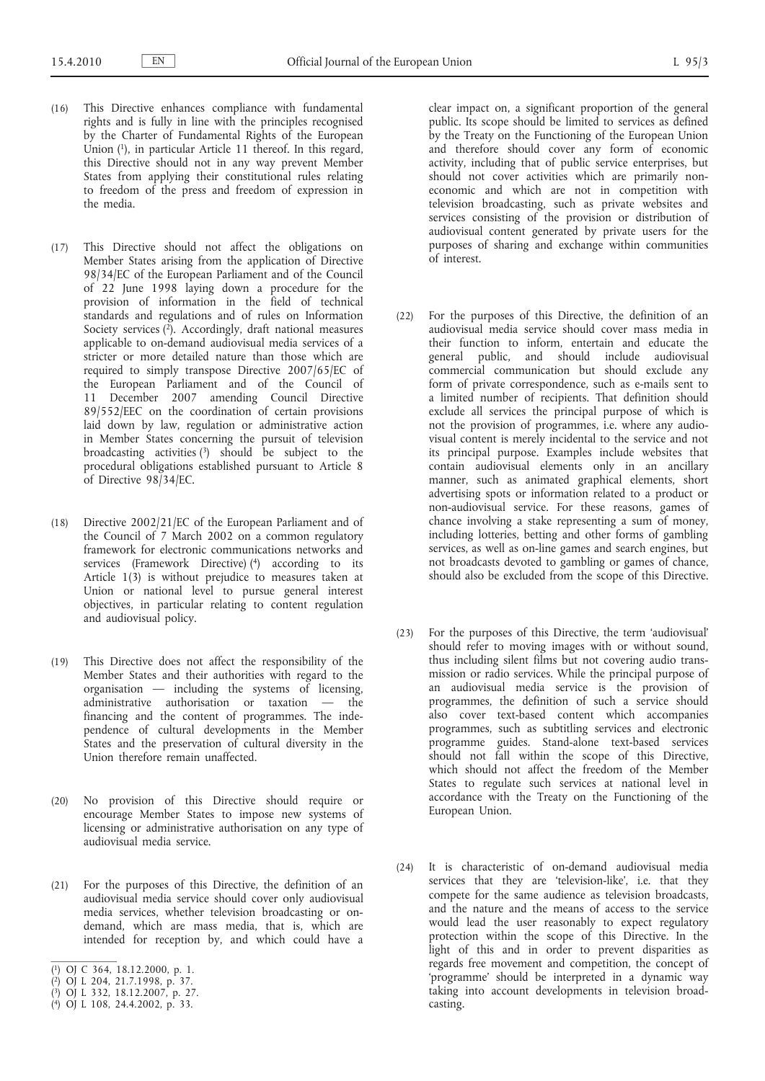- (16) This Directive enhances compliance with fundamental rights and is fully in line with the principles recognised by the Charter of Fundamental Rights of the European Union (1), in particular Article 11 thereof. In this regard, this Directive should not in any way prevent Member States from applying their constitutional rules relating to freedom of the press and freedom of expression in the media.
- (17) This Directive should not affect the obligations on Member States arising from the application of Directive 98/34/EC of the European Parliament and of the Council of 22 June 1998 laying down a procedure for the provision of information in the field of technical standards and regulations and of rules on Information Society services  $(2)$ . Accordingly, draft national measures applicable to on-demand audiovisual media services of a stricter or more detailed nature than those which are required to simply transpose Directive 2007/65/EC of the European Parliament and of the Council of 11 December 2007 amending Council Directive 89/552/EEC on the coordination of certain provisions laid down by law, regulation or administrative action in Member States concerning the pursuit of television broadcasting activities  $(3)$  should be subject to the procedural obligations established pursuant to Article 8 of Directive 98/34/EC.
- (18) Directive 2002/21/EC of the European Parliament and of the Council of 7 March 2002 on a common regulatory framework for electronic communications networks and services (Framework Directive) (4) according to its Article 1(3) is without prejudice to measures taken at Union or national level to pursue general interest objectives, in particular relating to content regulation and audiovisual policy.
- (19) This Directive does not affect the responsibility of the Member States and their authorities with regard to the organisation — including the systems of licensing, administrative authorisation or taxation — the financing and the content of programmes. The independence of cultural developments in the Member States and the preservation of cultural diversity in the Union therefore remain unaffected.
- (20) No provision of this Directive should require or encourage Member States to impose new systems of licensing or administrative authorisation on any type of audiovisual media service.
- (21) For the purposes of this Directive, the definition of an audiovisual media service should cover only audiovisual media services, whether television broadcasting or ondemand, which are mass media, that is, which are intended for reception by, and which could have a
- ( 1) OJ C 364, 18.12.2000, p. 1.

clear impact on, a significant proportion of the general public. Its scope should be limited to services as defined by the Treaty on the Functioning of the European Union and therefore should cover any form of economic activity, including that of public service enterprises, but should not cover activities which are primarily noneconomic and which are not in competition with television broadcasting, such as private websites and services consisting of the provision or distribution of audiovisual content generated by private users for the purposes of sharing and exchange within communities of interest.

- (22) For the purposes of this Directive, the definition of an audiovisual media service should cover mass media in their function to inform, entertain and educate the general public, and should include audiovisual commercial communication but should exclude any form of private correspondence, such as e-mails sent to a limited number of recipients. That definition should exclude all services the principal purpose of which is not the provision of programmes, i.e. where any audiovisual content is merely incidental to the service and not its principal purpose. Examples include websites that contain audiovisual elements only in an ancillary manner, such as animated graphical elements, short advertising spots or information related to a product or non-audiovisual service. For these reasons, games of chance involving a stake representing a sum of money, including lotteries, betting and other forms of gambling services, as well as on-line games and search engines, but not broadcasts devoted to gambling or games of chance, should also be excluded from the scope of this Directive.
- (23) For the purposes of this Directive, the term 'audiovisual' should refer to moving images with or without sound, thus including silent films but not covering audio transmission or radio services. While the principal purpose of an audiovisual media service is the provision of programmes, the definition of such a service should also cover text-based content which accompanies programmes, such as subtitling services and electronic programme guides. Stand-alone text-based services should not fall within the scope of this Directive, which should not affect the freedom of the Member States to regulate such services at national level in accordance with the Treaty on the Functioning of the European Union.
- (24) It is characteristic of on-demand audiovisual media services that they are 'television-like', i.e. that they compete for the same audience as television broadcasts, and the nature and the means of access to the service would lead the user reasonably to expect regulatory protection within the scope of this Directive. In the light of this and in order to prevent disparities as regards free movement and competition, the concept of 'programme' should be interpreted in a dynamic way taking into account developments in television broadcasting.

<sup>(</sup> 2) OJ L 204, 21.7.1998, p. 37.

<sup>(</sup> 3) OJ L 332, 18.12.2007, p. 27.

<sup>(</sup> 4) OJ L 108, 24.4.2002, p. 33.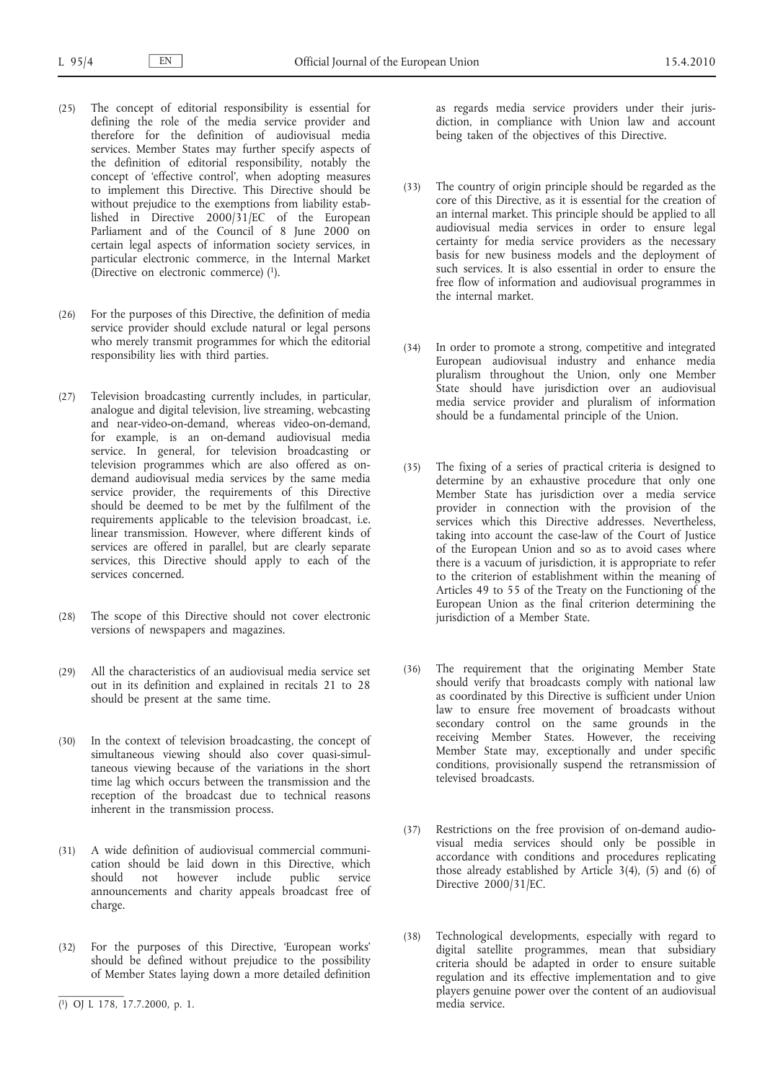- (25) The concept of editorial responsibility is essential for defining the role of the media service provider and therefore for the definition of audiovisual media services. Member States may further specify aspects of the definition of editorial responsibility, notably the concept of 'effective control', when adopting measures to implement this Directive. This Directive should be without prejudice to the exemptions from liability established in Directive  $2000/31/EC$  of the European Parliament and of the Council of 8 June 2000 on certain legal aspects of information society services, in particular electronic commerce, in the Internal Market (Directive on electronic commerce)  $(1)$ .
- (26) For the purposes of this Directive, the definition of media service provider should exclude natural or legal persons who merely transmit programmes for which the editorial responsibility lies with third parties.
- (27) Television broadcasting currently includes, in particular, analogue and digital television, live streaming, webcasting and near-video-on-demand, whereas video-on-demand, for example, is an on-demand audiovisual media service. In general, for television broadcasting or television programmes which are also offered as ondemand audiovisual media services by the same media service provider, the requirements of this Directive should be deemed to be met by the fulfilment of the requirements applicable to the television broadcast, i.e. linear transmission. However, where different kinds of services are offered in parallel, but are clearly separate services, this Directive should apply to each of the services concerned.
- (28) The scope of this Directive should not cover electronic versions of newspapers and magazines.
- (29) All the characteristics of an audiovisual media service set out in its definition and explained in recitals 21 to 28 should be present at the same time.
- (30) In the context of television broadcasting, the concept of simultaneous viewing should also cover quasi-simultaneous viewing because of the variations in the short time lag which occurs between the transmission and the reception of the broadcast due to technical reasons inherent in the transmission process.
- (31) A wide definition of audiovisual commercial communication should be laid down in this Directive, which should not however include public service announcements and charity appeals broadcast free of charge.
- (32) For the purposes of this Directive, 'European works' should be defined without prejudice to the possibility of Member States laying down a more detailed definition

as regards media service providers under their jurisdiction, in compliance with Union law and account being taken of the objectives of this Directive.

- (33) The country of origin principle should be regarded as the core of this Directive, as it is essential for the creation of an internal market. This principle should be applied to all audiovisual media services in order to ensure legal certainty for media service providers as the necessary basis for new business models and the deployment of such services. It is also essential in order to ensure the free flow of information and audiovisual programmes in the internal market.
- (34) In order to promote a strong, competitive and integrated European audiovisual industry and enhance media pluralism throughout the Union, only one Member State should have jurisdiction over an audiovisual media service provider and pluralism of information should be a fundamental principle of the Union.
- (35) The fixing of a series of practical criteria is designed to determine by an exhaustive procedure that only one Member State has jurisdiction over a media service provider in connection with the provision of the services which this Directive addresses. Nevertheless, taking into account the case-law of the Court of Justice of the European Union and so as to avoid cases where there is a vacuum of jurisdiction, it is appropriate to refer to the criterion of establishment within the meaning of Articles 49 to 55 of the Treaty on the Functioning of the European Union as the final criterion determining the jurisdiction of a Member State.
- (36) The requirement that the originating Member State should verify that broadcasts comply with national law as coordinated by this Directive is sufficient under Union law to ensure free movement of broadcasts without secondary control on the same grounds in the receiving Member States. However, the receiving Member State may, exceptionally and under specific conditions, provisionally suspend the retransmission of televised broadcasts.
- (37) Restrictions on the free provision of on-demand audiovisual media services should only be possible in accordance with conditions and procedures replicating those already established by Article 3(4), (5) and (6) of Directive 2000/31/EC.
- (38) Technological developments, especially with regard to digital satellite programmes, mean that subsidiary criteria should be adapted in order to ensure suitable regulation and its effective implementation and to give players genuine power over the content of an audiovisual media service.

<sup>(</sup> 1) OJ L 178, 17.7.2000, p. 1.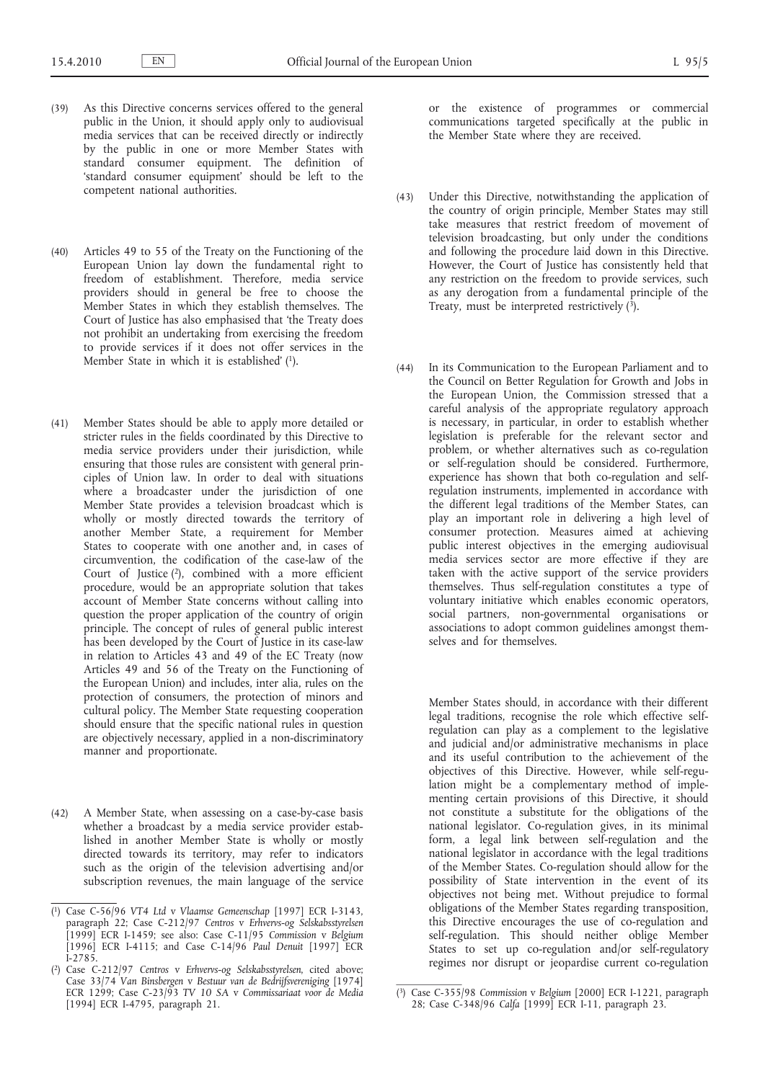- (39) As this Directive concerns services offered to the general public in the Union, it should apply only to audiovisual media services that can be received directly or indirectly by the public in one or more Member States with standard consumer equipment. The definition of 'standard consumer equipment' should be left to the competent national authorities.
- (40) Articles 49 to 55 of the Treaty on the Functioning of the European Union lay down the fundamental right to freedom of establishment. Therefore, media service providers should in general be free to choose the Member States in which they establish themselves. The Court of Justice has also emphasised that 'the Treaty does not prohibit an undertaking from exercising the freedom to provide services if it does not offer services in the Member State in which it is established' (1).
- (41) Member States should be able to apply more detailed or stricter rules in the fields coordinated by this Directive to media service providers under their jurisdiction, while ensuring that those rules are consistent with general principles of Union law. In order to deal with situations where a broadcaster under the jurisdiction of one Member State provides a television broadcast which is wholly or mostly directed towards the territory of another Member State, a requirement for Member States to cooperate with one another and, in cases of circumvention, the codification of the case-law of the Court of Justice  $(2)$ , combined with a more efficient procedure, would be an appropriate solution that takes account of Member State concerns without calling into question the proper application of the country of origin principle. The concept of rules of general public interest has been developed by the Court of Justice in its case-law in relation to Articles 43 and 49 of the EC Treaty (now Articles 49 and 56 of the Treaty on the Functioning of the European Union) and includes, inter alia, rules on the protection of consumers, the protection of minors and cultural policy. The Member State requesting cooperation should ensure that the specific national rules in question are objectively necessary, applied in a non-discriminatory manner and proportionate.
- (42) A Member State, when assessing on a case-by-case basis whether a broadcast by a media service provider established in another Member State is wholly or mostly directed towards its territory, may refer to indicators such as the origin of the television advertising and/or subscription revenues, the main language of the service

or the existence of programmes or commercial communications targeted specifically at the public in the Member State where they are received.

- (43) Under this Directive, notwithstanding the application of the country of origin principle, Member States may still take measures that restrict freedom of movement of television broadcasting, but only under the conditions and following the procedure laid down in this Directive. However, the Court of Justice has consistently held that any restriction on the freedom to provide services, such as any derogation from a fundamental principle of the Treaty, must be interpreted restrictively  $(\overline{3})$ .
- (44) In its Communication to the European Parliament and to the Council on Better Regulation for Growth and Jobs in the European Union, the Commission stressed that a careful analysis of the appropriate regulatory approach is necessary, in particular, in order to establish whether legislation is preferable for the relevant sector and problem, or whether alternatives such as co-regulation or self-regulation should be considered. Furthermore, experience has shown that both co-regulation and selfregulation instruments, implemented in accordance with the different legal traditions of the Member States, can play an important role in delivering a high level of consumer protection. Measures aimed at achieving public interest objectives in the emerging audiovisual media services sector are more effective if they are taken with the active support of the service providers themselves. Thus self-regulation constitutes a type of voluntary initiative which enables economic operators, social partners, non-governmental organisations or associations to adopt common guidelines amongst themselves and for themselves.

Member States should, in accordance with their different legal traditions, recognise the role which effective selfregulation can play as a complement to the legislative and judicial and/or administrative mechanisms in place and its useful contribution to the achievement of the objectives of this Directive. However, while self-regulation might be a complementary method of implementing certain provisions of this Directive, it should not constitute a substitute for the obligations of the national legislator. Co-regulation gives, in its minimal form, a legal link between self-regulation and the national legislator in accordance with the legal traditions of the Member States. Co-regulation should allow for the possibility of State intervention in the event of its objectives not being met. Without prejudice to formal obligations of the Member States regarding transposition, this Directive encourages the use of co-regulation and self-regulation. This should neither oblige Member States to set up co-regulation and/or self-regulatory regimes nor disrupt or jeopardise current co-regulation

<sup>(</sup> 1) Case C-56/96 *VT4 Ltd* v *Vlaamse Gemeenschap* [1997] ECR I-3143, paragraph 22; Case C-212/97 *Centros* v *Erhvervs-og Selskabsstyrelsen* [1999] ECR I-1459; see also: Case C-11/95 *Commission* v *Belgium* [1996] ECR I-4115; and Case C-14/96 *Paul Denuit* [1997] ECR I-2785.

<sup>(</sup> 2) Case C-212/97 *Centros* v *Erhvervs-og Selskabsstyrelsen*, cited above; Case 33/74 *Van Binsbergen* v *Bestuur van de Bedrijfsvereniging* [1974] ECR 1299; Case C-23/93 *TV 10 SA* v *Commissariaat voor de Media* [1994] ECR I-4795, paragraph 21.

<sup>(</sup> 3) Case C-355/98 *Commission* v *Belgium* [2000] ECR I-1221, paragraph 28; Case C-348/96 *Calfa* [1999] ECR I-11, paragraph 23.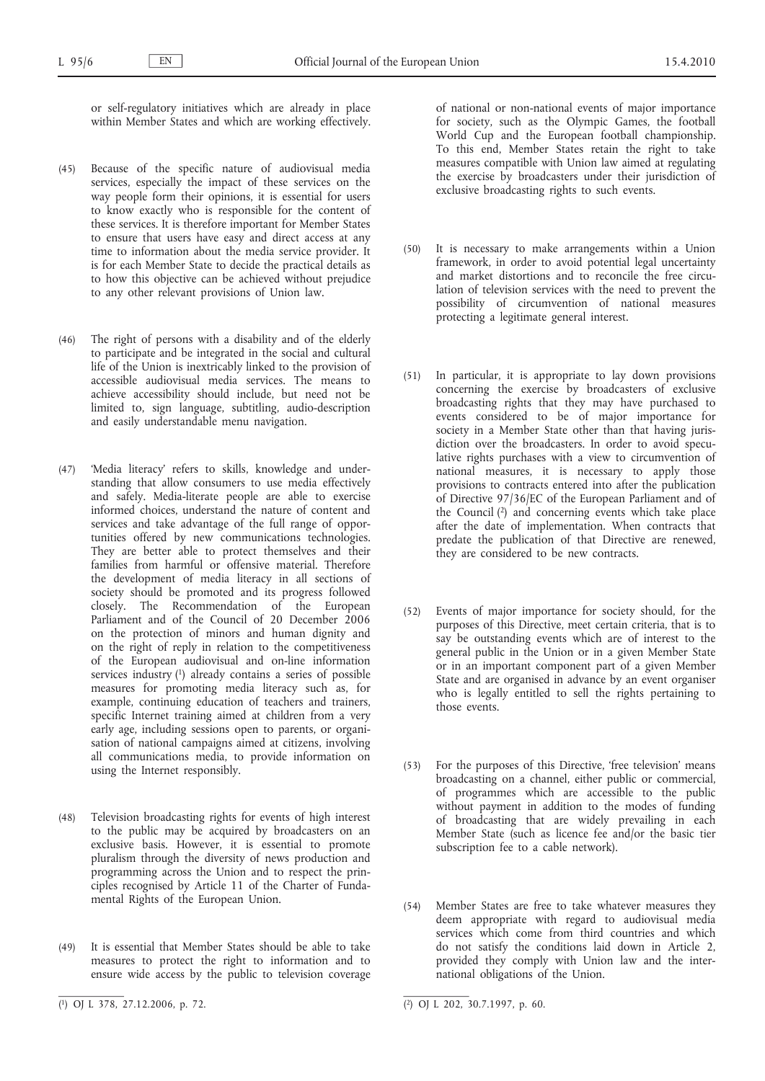or self-regulatory initiatives which are already in place within Member States and which are working effectively.

- (45) Because of the specific nature of audiovisual media services, especially the impact of these services on the way people form their opinions, it is essential for users to know exactly who is responsible for the content of these services. It is therefore important for Member States to ensure that users have easy and direct access at any time to information about the media service provider. It is for each Member State to decide the practical details as to how this objective can be achieved without prejudice to any other relevant provisions of Union law.
- (46) The right of persons with a disability and of the elderly to participate and be integrated in the social and cultural life of the Union is inextricably linked to the provision of accessible audiovisual media services. The means to achieve accessibility should include, but need not be limited to, sign language, subtitling, audio-description and easily understandable menu navigation.
- (47) 'Media literacy' refers to skills, knowledge and understanding that allow consumers to use media effectively and safely. Media-literate people are able to exercise informed choices, understand the nature of content and services and take advantage of the full range of opportunities offered by new communications technologies. They are better able to protect themselves and their families from harmful or offensive material. Therefore the development of media literacy in all sections of society should be promoted and its progress followed closely. The Recommendation of the European Parliament and of the Council of 20 December 2006 on the protection of minors and human dignity and on the right of reply in relation to the competitiveness of the European audiovisual and on-line information services industry (1) already contains a series of possible measures for promoting media literacy such as, for example, continuing education of teachers and trainers, specific Internet training aimed at children from a very early age, including sessions open to parents, or organisation of national campaigns aimed at citizens, involving all communications media, to provide information on using the Internet responsibly.
- (48) Television broadcasting rights for events of high interest to the public may be acquired by broadcasters on an exclusive basis. However, it is essential to promote pluralism through the diversity of news production and programming across the Union and to respect the principles recognised by Article 11 of the Charter of Fundamental Rights of the European Union.
- (49) It is essential that Member States should be able to take measures to protect the right to information and to ensure wide access by the public to television coverage
- (50) It is necessary to make arrangements within a Union framework, in order to avoid potential legal uncertainty and market distortions and to reconcile the free circulation of television services with the need to prevent the possibility of circumvention of national measures protecting a legitimate general interest.
- (51) In particular, it is appropriate to lay down provisions concerning the exercise by broadcasters of exclusive broadcasting rights that they may have purchased to events considered to be of major importance for society in a Member State other than that having jurisdiction over the broadcasters. In order to avoid speculative rights purchases with a view to circumvention of national measures, it is necessary to apply those provisions to contracts entered into after the publication of Directive 97/36/EC of the European Parliament and of the Council  $(2)$  and concerning events which take place after the date of implementation. When contracts that predate the publication of that Directive are renewed, they are considered to be new contracts.
- (52) Events of major importance for society should, for the purposes of this Directive, meet certain criteria, that is to say be outstanding events which are of interest to the general public in the Union or in a given Member State or in an important component part of a given Member State and are organised in advance by an event organiser who is legally entitled to sell the rights pertaining to those events.
- (53) For the purposes of this Directive, 'free television' means broadcasting on a channel, either public or commercial, of programmes which are accessible to the public without payment in addition to the modes of funding of broadcasting that are widely prevailing in each Member State (such as licence fee and/or the basic tier subscription fee to a cable network).
- (54) Member States are free to take whatever measures they deem appropriate with regard to audiovisual media services which come from third countries and which do not satisfy the conditions laid down in Article 2, provided they comply with Union law and the international obligations of the Union.

of national or non-national events of major importance for society, such as the Olympic Games, the football World Cup and the European football championship. To this end, Member States retain the right to take measures compatible with Union law aimed at regulating the exercise by broadcasters under their jurisdiction of exclusive broadcasting rights to such events.

<sup>(</sup> 1) OJ L 378, 27.12.2006, p. 72. (2) OJ L 202, 30.7.1997, p. 60.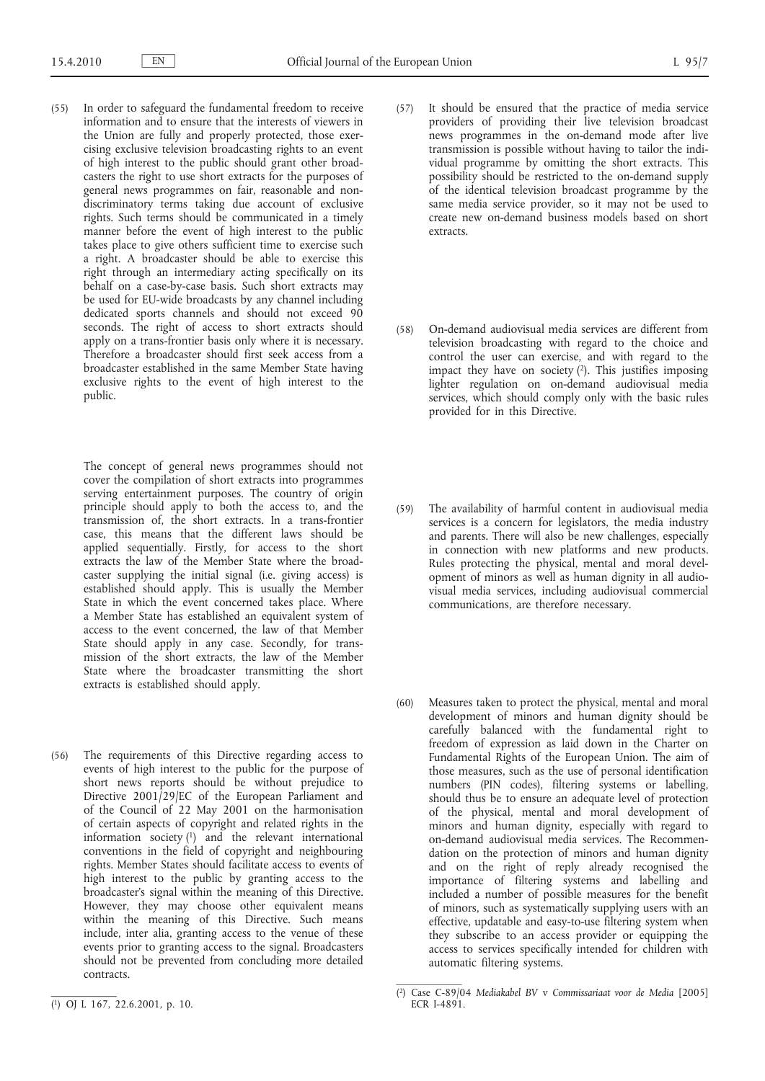(55) In order to safeguard the fundamental freedom to receive information and to ensure that the interests of viewers in the Union are fully and properly protected, those exercising exclusive television broadcasting rights to an event of high interest to the public should grant other broadcasters the right to use short extracts for the purposes of general news programmes on fair, reasonable and nondiscriminatory terms taking due account of exclusive rights. Such terms should be communicated in a timely manner before the event of high interest to the public takes place to give others sufficient time to exercise such a right. A broadcaster should be able to exercise this right through an intermediary acting specifically on its behalf on a case-by-case basis. Such short extracts may be used for EU-wide broadcasts by any channel including dedicated sports channels and should not exceed 90 seconds. The right of access to short extracts should apply on a trans-frontier basis only where it is necessary. Therefore a broadcaster should first seek access from a broadcaster established in the same Member State having exclusive rights to the event of high interest to the public.

The concept of general news programmes should not cover the compilation of short extracts into programmes serving entertainment purposes. The country of origin principle should apply to both the access to, and the transmission of, the short extracts. In a trans-frontier case, this means that the different laws should be applied sequentially. Firstly, for access to the short extracts the law of the Member State where the broadcaster supplying the initial signal (i.e. giving access) is established should apply. This is usually the Member State in which the event concerned takes place. Where a Member State has established an equivalent system of access to the event concerned, the law of that Member State should apply in any case. Secondly, for transmission of the short extracts, the law of the Member State where the broadcaster transmitting the short extracts is established should apply.

(56) The requirements of this Directive regarding access to events of high interest to the public for the purpose of short news reports should be without prejudice to Directive 2001/29/EC of the European Parliament and of the Council of 22 May 2001 on the harmonisation of certain aspects of copyright and related rights in the information society  $(1)$  and the relevant international conventions in the field of copyright and neighbouring rights. Member States should facilitate access to events of high interest to the public by granting access to the broadcaster's signal within the meaning of this Directive. However, they may choose other equivalent means within the meaning of this Directive. Such means include, inter alia, granting access to the venue of these events prior to granting access to the signal. Broadcasters should not be prevented from concluding more detailed contracts.

- (57) It should be ensured that the practice of media service providers of providing their live television broadcast news programmes in the on-demand mode after live transmission is possible without having to tailor the individual programme by omitting the short extracts. This possibility should be restricted to the on-demand supply of the identical television broadcast programme by the same media service provider, so it may not be used to create new on-demand business models based on short extracts.
- (58) On-demand audiovisual media services are different from television broadcasting with regard to the choice and control the user can exercise, and with regard to the impact they have on society  $(2)$ . This justifies imposing lighter regulation on on-demand audiovisual media services, which should comply only with the basic rules provided for in this Directive.
- (59) The availability of harmful content in audiovisual media services is a concern for legislators, the media industry and parents. There will also be new challenges, especially in connection with new platforms and new products. Rules protecting the physical, mental and moral development of minors as well as human dignity in all audiovisual media services, including audiovisual commercial communications, are therefore necessary.
- (60) Measures taken to protect the physical, mental and moral development of minors and human dignity should be carefully balanced with the fundamental right to freedom of expression as laid down in the Charter on Fundamental Rights of the European Union. The aim of those measures, such as the use of personal identification numbers (PIN codes), filtering systems or labelling, should thus be to ensure an adequate level of protection of the physical, mental and moral development of minors and human dignity, especially with regard to on-demand audiovisual media services. The Recommendation on the protection of minors and human dignity and on the right of reply already recognised the importance of filtering systems and labelling and included a number of possible measures for the benefit of minors, such as systematically supplying users with an effective, updatable and easy-to-use filtering system when they subscribe to an access provider or equipping the access to services specifically intended for children with automatic filtering systems.

<sup>(</sup> 1) OJ L 167, 22.6.2001, p. 10.

<sup>(</sup> 2) Case C-89/04 *Mediakabel BV* v *Commissariaat voor de Media* [2005] ECR I-4891.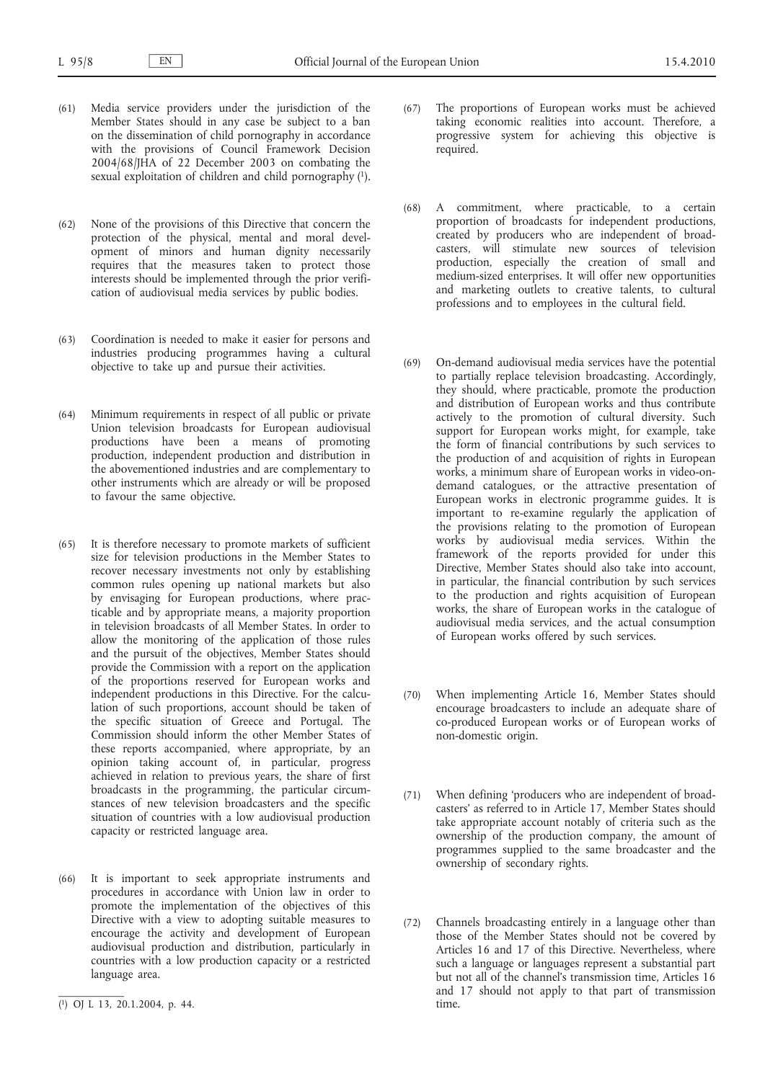- (61) Media service providers under the jurisdiction of the Member States should in any case be subject to a ban on the dissemination of child pornography in accordance with the provisions of Council Framework Decision 2004/68/JHA of 22 December 2003 on combating the sexual exploitation of children and child pornography (1).
- (62) None of the provisions of this Directive that concern the protection of the physical, mental and moral development of minors and human dignity necessarily requires that the measures taken to protect those interests should be implemented through the prior verification of audiovisual media services by public bodies.
- (63) Coordination is needed to make it easier for persons and industries producing programmes having a cultural objective to take up and pursue their activities.
- (64) Minimum requirements in respect of all public or private Union television broadcasts for European audiovisual productions have been a means of promoting production, independent production and distribution in the abovementioned industries and are complementary to other instruments which are already or will be proposed to favour the same objective.
- (65) It is therefore necessary to promote markets of sufficient size for television productions in the Member States to recover necessary investments not only by establishing common rules opening up national markets but also by envisaging for European productions, where practicable and by appropriate means, a majority proportion in television broadcasts of all Member States. In order to allow the monitoring of the application of those rules and the pursuit of the objectives, Member States should provide the Commission with a report on the application of the proportions reserved for European works and independent productions in this Directive. For the calculation of such proportions, account should be taken of the specific situation of Greece and Portugal. The Commission should inform the other Member States of these reports accompanied, where appropriate, by an opinion taking account of, in particular, progress achieved in relation to previous years, the share of first broadcasts in the programming, the particular circumstances of new television broadcasters and the specific situation of countries with a low audiovisual production capacity or restricted language area.
- (66) It is important to seek appropriate instruments and procedures in accordance with Union law in order to promote the implementation of the objectives of this Directive with a view to adopting suitable measures to encourage the activity and development of European audiovisual production and distribution, particularly in countries with a low production capacity or a restricted language area.
- (67) The proportions of European works must be achieved taking economic realities into account. Therefore, a progressive system for achieving this objective is required.
- (68) A commitment, where practicable, to a certain proportion of broadcasts for independent productions, created by producers who are independent of broadcasters, will stimulate new sources of television production, especially the creation of small and medium-sized enterprises. It will offer new opportunities and marketing outlets to creative talents, to cultural professions and to employees in the cultural field.
- (69) On-demand audiovisual media services have the potential to partially replace television broadcasting. Accordingly, they should, where practicable, promote the production and distribution of European works and thus contribute actively to the promotion of cultural diversity. Such support for European works might, for example, take the form of financial contributions by such services to the production of and acquisition of rights in European works, a minimum share of European works in video-ondemand catalogues, or the attractive presentation of European works in electronic programme guides. It is important to re-examine regularly the application of the provisions relating to the promotion of European works by audiovisual media services. Within the framework of the reports provided for under this Directive, Member States should also take into account, in particular, the financial contribution by such services to the production and rights acquisition of European works, the share of European works in the catalogue of audiovisual media services, and the actual consumption of European works offered by such services.
- (70) When implementing Article 16, Member States should encourage broadcasters to include an adequate share of co-produced European works or of European works of non-domestic origin.
- (71) When defining 'producers who are independent of broadcasters' as referred to in Article 17, Member States should take appropriate account notably of criteria such as the ownership of the production company, the amount of programmes supplied to the same broadcaster and the ownership of secondary rights.
- (72) Channels broadcasting entirely in a language other than those of the Member States should not be covered by Articles 16 and 17 of this Directive. Nevertheless, where such a language or languages represent a substantial part but not all of the channel's transmission time, Articles 16 and 17 should not apply to that part of transmission time.

<sup>(</sup> 1) OJ L 13, 20.1.2004, p. 44.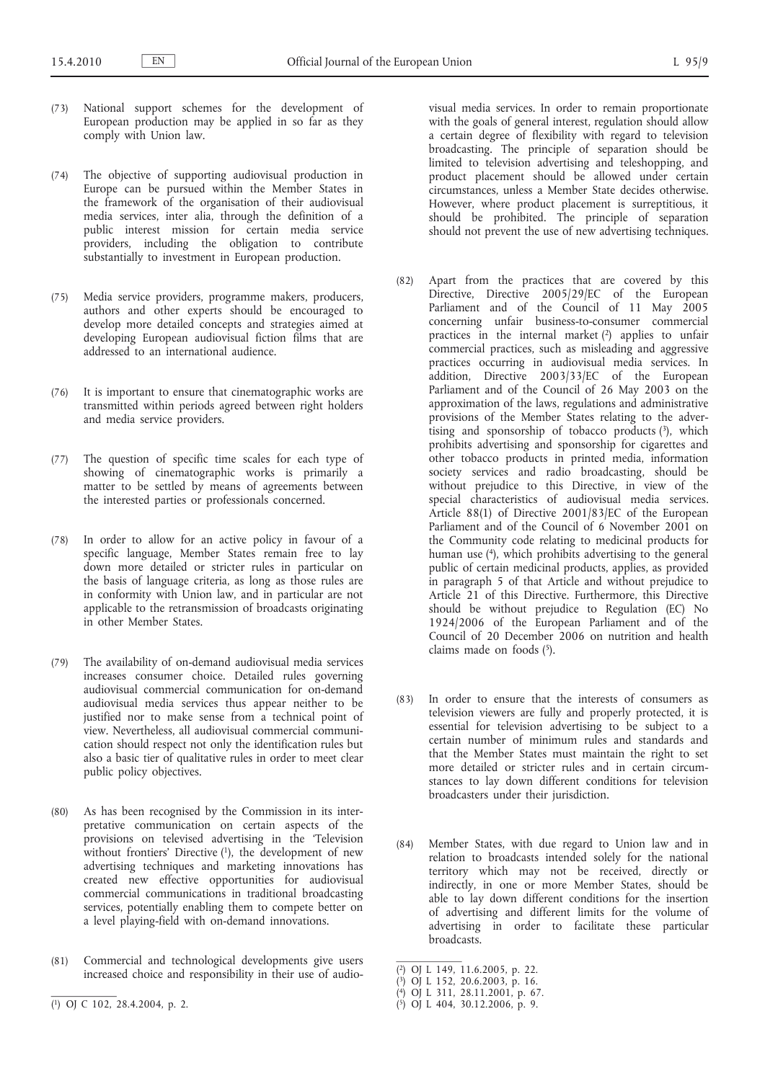- (73) National support schemes for the development of European production may be applied in so far as they comply with Union law.
- (74) The objective of supporting audiovisual production in Europe can be pursued within the Member States in the framework of the organisation of their audiovisual media services, inter alia, through the definition of a public interest mission for certain media service providers, including the obligation to contribute substantially to investment in European production.
- (75) Media service providers, programme makers, producers, authors and other experts should be encouraged to develop more detailed concepts and strategies aimed at developing European audiovisual fiction films that are addressed to an international audience.
- (76) It is important to ensure that cinematographic works are transmitted within periods agreed between right holders and media service providers.
- (77) The question of specific time scales for each type of showing of cinematographic works is primarily a matter to be settled by means of agreements between the interested parties or professionals concerned.
- (78) In order to allow for an active policy in favour of a specific language, Member States remain free to lay down more detailed or stricter rules in particular on the basis of language criteria, as long as those rules are in conformity with Union law, and in particular are not applicable to the retransmission of broadcasts originating in other Member States.
- (79) The availability of on-demand audiovisual media services increases consumer choice. Detailed rules governing audiovisual commercial communication for on-demand audiovisual media services thus appear neither to be justified nor to make sense from a technical point of view. Nevertheless, all audiovisual commercial communication should respect not only the identification rules but also a basic tier of qualitative rules in order to meet clear public policy objectives.
- (80) As has been recognised by the Commission in its interpretative communication on certain aspects of the provisions on televised advertising in the 'Television without frontiers' Directive (1), the development of new advertising techniques and marketing innovations has created new effective opportunities for audiovisual commercial communications in traditional broadcasting services, potentially enabling them to compete better on a level playing-field with on-demand innovations.
- (81) Commercial and technological developments give users increased choice and responsibility in their use of audio-
- ( 1) OJ C 102, 28.4.2004, p. 2.

visual media services. In order to remain proportionate with the goals of general interest, regulation should allow a certain degree of flexibility with regard to television broadcasting. The principle of separation should be limited to television advertising and teleshopping, and product placement should be allowed under certain circumstances, unless a Member State decides otherwise. However, where product placement is surreptitious, it should be prohibited. The principle of separation should not prevent the use of new advertising techniques.

- (82) Apart from the practices that are covered by this Directive, Directive 2005/29/EC of the European Parliament and of the Council of 11 May 2005 concerning unfair business-to-consumer commercial practices in the internal market (2) applies to unfair commercial practices, such as misleading and aggressive practices occurring in audiovisual media services. In addition, Directive 2003/33/EC of the European Parliament and of the Council of 26 May 2003 on the approximation of the laws, regulations and administrative provisions of the Member States relating to the advertising and sponsorship of tobacco products  $(3)$ , which prohibits advertising and sponsorship for cigarettes and other tobacco products in printed media, information society services and radio broadcasting, should be without prejudice to this Directive, in view of the special characteristics of audiovisual media services. Article 88(1) of Directive 2001/83/EC of the European Parliament and of the Council of 6 November 2001 on the Community code relating to medicinal products for human use (4), which prohibits advertising to the general public of certain medicinal products, applies, as provided in paragraph 5 of that Article and without prejudice to Article 21 of this Directive. Furthermore, this Directive should be without prejudice to Regulation (EC) No 1924/2006 of the European Parliament and of the Council of 20 December 2006 on nutrition and health claims made on foods (5).
- (83) In order to ensure that the interests of consumers as television viewers are fully and properly protected, it is essential for television advertising to be subject to a certain number of minimum rules and standards and that the Member States must maintain the right to set more detailed or stricter rules and in certain circumstances to lay down different conditions for television broadcasters under their jurisdiction.
- (84) Member States, with due regard to Union law and in relation to broadcasts intended solely for the national territory which may not be received, directly or indirectly, in one or more Member States, should be able to lay down different conditions for the insertion of advertising and different limits for the volume of advertising in order to facilitate these particular broadcasts.

<sup>(</sup> 2) OJ L 149, 11.6.2005, p. 22.

<sup>(</sup> 3) OJ L 152, 20.6.2003, p. 16.

<sup>(</sup> 4) OJ L 311, 28.11.2001, p. 67.

<sup>(</sup> 5) OJ L 404, 30.12.2006, p. 9.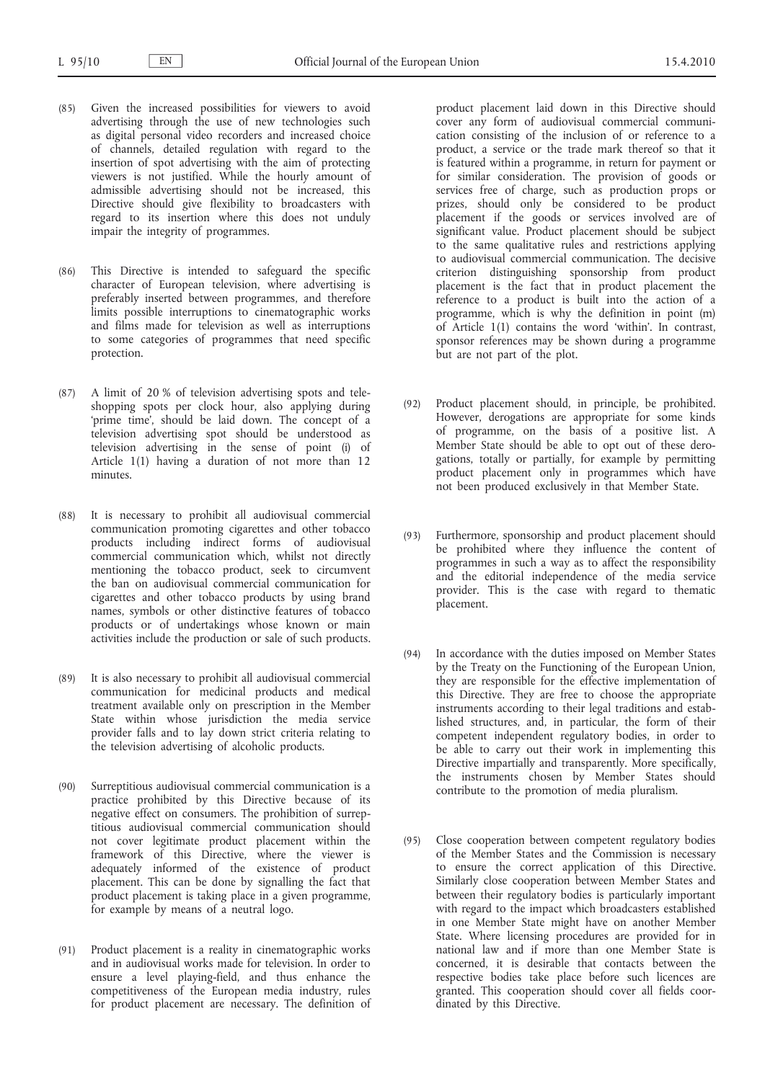- (85) Given the increased possibilities for viewers to avoid advertising through the use of new technologies such as digital personal video recorders and increased choice of channels, detailed regulation with regard to the insertion of spot advertising with the aim of protecting viewers is not justified. While the hourly amount of admissible advertising should not be increased, this Directive should give flexibility to broadcasters with regard to its insertion where this does not unduly impair the integrity of programmes.
- (86) This Directive is intended to safeguard the specific character of European television, where advertising is preferably inserted between programmes, and therefore limits possible interruptions to cinematographic works and films made for television as well as interruptions to some categories of programmes that need specific protection.
- (87) A limit of 20 % of television advertising spots and teleshopping spots per clock hour, also applying during 'prime time', should be laid down. The concept of a television advertising spot should be understood as television advertising in the sense of point (i) of Article 1(1) having a duration of not more than 12 minutes.
- (88) It is necessary to prohibit all audiovisual commercial communication promoting cigarettes and other tobacco products including indirect forms of audiovisual commercial communication which, whilst not directly mentioning the tobacco product, seek to circumvent the ban on audiovisual commercial communication for cigarettes and other tobacco products by using brand names, symbols or other distinctive features of tobacco products or of undertakings whose known or main activities include the production or sale of such products.
- (89) It is also necessary to prohibit all audiovisual commercial communication for medicinal products and medical treatment available only on prescription in the Member State within whose jurisdiction the media service provider falls and to lay down strict criteria relating to the television advertising of alcoholic products.
- (90) Surreptitious audiovisual commercial communication is a practice prohibited by this Directive because of its negative effect on consumers. The prohibition of surreptitious audiovisual commercial communication should not cover legitimate product placement within the framework of this Directive, where the viewer is adequately informed of the existence of product placement. This can be done by signalling the fact that product placement is taking place in a given programme, for example by means of a neutral logo.
- (91) Product placement is a reality in cinematographic works and in audiovisual works made for television. In order to ensure a level playing-field, and thus enhance the competitiveness of the European media industry, rules for product placement are necessary. The definition of

product placement laid down in this Directive should cover any form of audiovisual commercial communication consisting of the inclusion of or reference to a product, a service or the trade mark thereof so that it is featured within a programme, in return for payment or for similar consideration. The provision of goods or services free of charge, such as production props or prizes, should only be considered to be product placement if the goods or services involved are of significant value. Product placement should be subject to the same qualitative rules and restrictions applying to audiovisual commercial communication. The decisive criterion distinguishing sponsorship from product placement is the fact that in product placement the reference to a product is built into the action of a programme, which is why the definition in point (m) of Article 1(1) contains the word 'within'. In contrast, sponsor references may be shown during a programme but are not part of the plot.

- (92) Product placement should, in principle, be prohibited. However, derogations are appropriate for some kinds of programme, on the basis of a positive list. A Member State should be able to opt out of these derogations, totally or partially, for example by permitting product placement only in programmes which have not been produced exclusively in that Member State.
- (93) Furthermore, sponsorship and product placement should be prohibited where they influence the content of programmes in such a way as to affect the responsibility and the editorial independence of the media service provider. This is the case with regard to thematic placement.
- (94) In accordance with the duties imposed on Member States by the Treaty on the Functioning of the European Union, they are responsible for the effective implementation of this Directive. They are free to choose the appropriate instruments according to their legal traditions and established structures, and, in particular, the form of their competent independent regulatory bodies, in order to be able to carry out their work in implementing this Directive impartially and transparently. More specifically, the instruments chosen by Member States should contribute to the promotion of media pluralism.
- (95) Close cooperation between competent regulatory bodies of the Member States and the Commission is necessary to ensure the correct application of this Directive. Similarly close cooperation between Member States and between their regulatory bodies is particularly important with regard to the impact which broadcasters established in one Member State might have on another Member State. Where licensing procedures are provided for in national law and if more than one Member State is concerned, it is desirable that contacts between the respective bodies take place before such licences are granted. This cooperation should cover all fields coordinated by this Directive.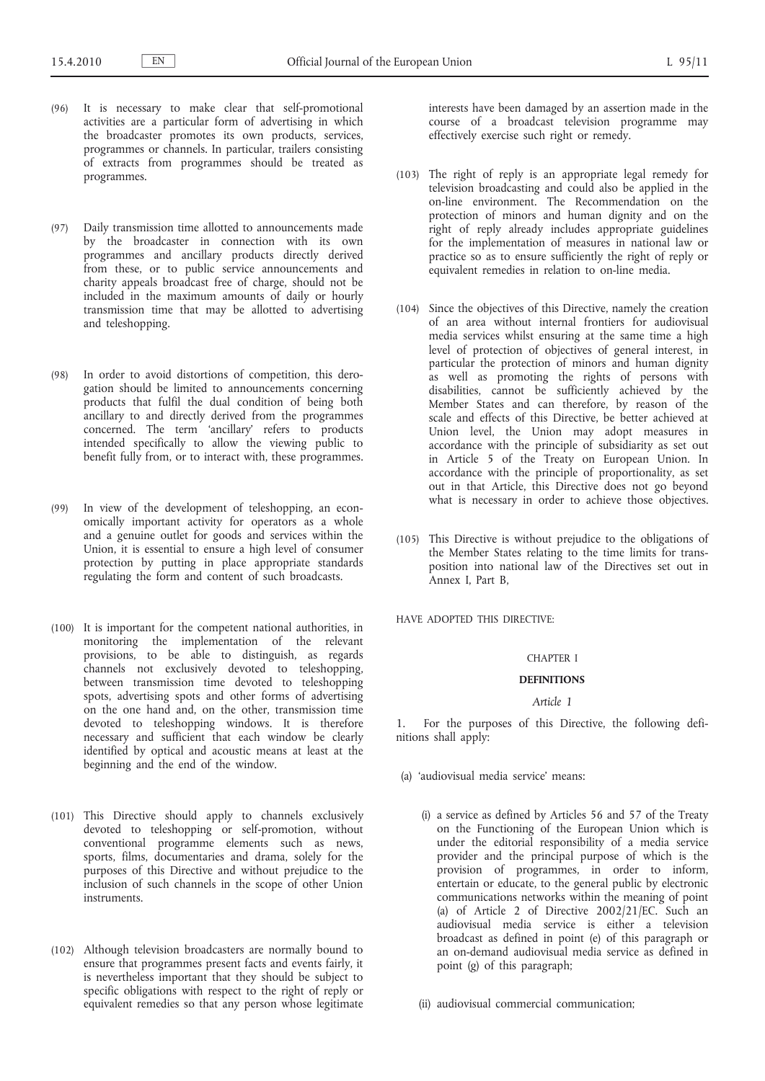- (96) It is necessary to make clear that self-promotional activities are a particular form of advertising in which the broadcaster promotes its own products, services, programmes or channels. In particular, trailers consisting of extracts from programmes should be treated as programmes.
- (97) Daily transmission time allotted to announcements made by the broadcaster in connection with its own programmes and ancillary products directly derived from these, or to public service announcements and charity appeals broadcast free of charge, should not be included in the maximum amounts of daily or hourly transmission time that may be allotted to advertising and teleshopping.
- (98) In order to avoid distortions of competition, this derogation should be limited to announcements concerning products that fulfil the dual condition of being both ancillary to and directly derived from the programmes concerned. The term 'ancillary' refers to products intended specifically to allow the viewing public to benefit fully from, or to interact with, these programmes.
- (99) In view of the development of teleshopping, an economically important activity for operators as a whole and a genuine outlet for goods and services within the Union, it is essential to ensure a high level of consumer protection by putting in place appropriate standards regulating the form and content of such broadcasts.
- (100) It is important for the competent national authorities, in monitoring the implementation of the relevant provisions, to be able to distinguish, as regards channels not exclusively devoted to teleshopping, between transmission time devoted to teleshopping spots, advertising spots and other forms of advertising on the one hand and, on the other, transmission time devoted to teleshopping windows. It is therefore necessary and sufficient that each window be clearly identified by optical and acoustic means at least at the beginning and the end of the window.
- (101) This Directive should apply to channels exclusively devoted to teleshopping or self-promotion, without conventional programme elements such as news, sports, films, documentaries and drama, solely for the purposes of this Directive and without prejudice to the inclusion of such channels in the scope of other Union instruments.
- (102) Although television broadcasters are normally bound to ensure that programmes present facts and events fairly, it is nevertheless important that they should be subject to specific obligations with respect to the right of reply or equivalent remedies so that any person whose legitimate

interests have been damaged by an assertion made in the course of a broadcast television programme may effectively exercise such right or remedy.

- (103) The right of reply is an appropriate legal remedy for television broadcasting and could also be applied in the on-line environment. The Recommendation on the protection of minors and human dignity and on the right of reply already includes appropriate guidelines for the implementation of measures in national law or practice so as to ensure sufficiently the right of reply or equivalent remedies in relation to on-line media.
- (104) Since the objectives of this Directive, namely the creation of an area without internal frontiers for audiovisual media services whilst ensuring at the same time a high level of protection of objectives of general interest, in particular the protection of minors and human dignity as well as promoting the rights of persons with disabilities, cannot be sufficiently achieved by the Member States and can therefore, by reason of the scale and effects of this Directive, be better achieved at Union level, the Union may adopt measures in accordance with the principle of subsidiarity as set out in Article 5 of the Treaty on European Union. In accordance with the principle of proportionality, as set out in that Article, this Directive does not go beyond what is necessary in order to achieve those objectives.
- (105) This Directive is without prejudice to the obligations of the Member States relating to the time limits for transposition into national law of the Directives set out in Annex I, Part B,

HAVE ADOPTED THIS DIRECTIVE:

#### CHAPTER I

## **DEFINITIONS**

## *Article 1*

1. For the purposes of this Directive, the following definitions shall apply:

- (a) 'audiovisual media service' means:
	- (i) a service as defined by Articles 56 and 57 of the Treaty on the Functioning of the European Union which is under the editorial responsibility of a media service provider and the principal purpose of which is the provision of programmes, in order to inform, entertain or educate, to the general public by electronic communications networks within the meaning of point (a) of Article 2 of Directive 2002/21/EC. Such an audiovisual media service is either a television broadcast as defined in point (e) of this paragraph or an on-demand audiovisual media service as defined in point (g) of this paragraph;
	- (ii) audiovisual commercial communication;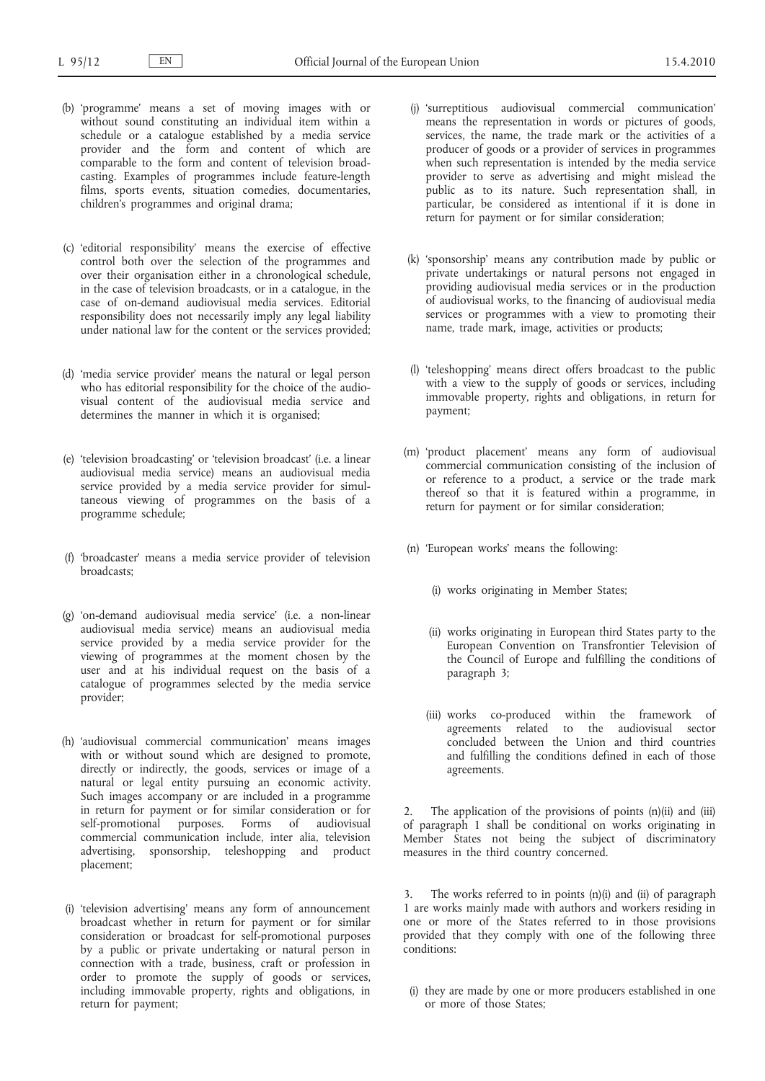- (b) 'programme' means a set of moving images with or without sound constituting an individual item within a schedule or a catalogue established by a media service provider and the form and content of which are comparable to the form and content of television broadcasting. Examples of programmes include feature-length films, sports events, situation comedies, documentaries, children's programmes and original drama;
- (c) 'editorial responsibility' means the exercise of effective control both over the selection of the programmes and over their organisation either in a chronological schedule, in the case of television broadcasts, or in a catalogue, in the case of on-demand audiovisual media services. Editorial responsibility does not necessarily imply any legal liability under national law for the content or the services provided;
- (d) 'media service provider' means the natural or legal person who has editorial responsibility for the choice of the audiovisual content of the audiovisual media service and determines the manner in which it is organised;
- (e) 'television broadcasting' or 'television broadcast' (i.e. a linear audiovisual media service) means an audiovisual media service provided by a media service provider for simultaneous viewing of programmes on the basis of a programme schedule;
- (f) 'broadcaster' means a media service provider of television broadcasts;
- (g) 'on-demand audiovisual media service' (i.e. a non-linear audiovisual media service) means an audiovisual media service provided by a media service provider for the viewing of programmes at the moment chosen by the user and at his individual request on the basis of a catalogue of programmes selected by the media service provider;
- (h) 'audiovisual commercial communication' means images with or without sound which are designed to promote, directly or indirectly, the goods, services or image of a natural or legal entity pursuing an economic activity. Such images accompany or are included in a programme in return for payment or for similar consideration or for self-promotional purposes. Forms of audiovisual commercial communication include, inter alia, television advertising, sponsorship, teleshopping and product placement;
- (i) 'television advertising' means any form of announcement broadcast whether in return for payment or for similar consideration or broadcast for self-promotional purposes by a public or private undertaking or natural person in connection with a trade, business, craft or profession in order to promote the supply of goods or services, including immovable property, rights and obligations, in return for payment;
- (j) 'surreptitious audiovisual commercial communication' means the representation in words or pictures of goods, services, the name, the trade mark or the activities of a producer of goods or a provider of services in programmes when such representation is intended by the media service provider to serve as advertising and might mislead the public as to its nature. Such representation shall, in particular, be considered as intentional if it is done in return for payment or for similar consideration;
- (k) 'sponsorship' means any contribution made by public or private undertakings or natural persons not engaged in providing audiovisual media services or in the production of audiovisual works, to the financing of audiovisual media services or programmes with a view to promoting their name, trade mark, image, activities or products;
- (l) 'teleshopping' means direct offers broadcast to the public with a view to the supply of goods or services, including immovable property, rights and obligations, in return for payment;
- (m) 'product placement' means any form of audiovisual commercial communication consisting of the inclusion of or reference to a product, a service or the trade mark thereof so that it is featured within a programme, in return for payment or for similar consideration;
- (n) 'European works' means the following:
	- (i) works originating in Member States;
	- (ii) works originating in European third States party to the European Convention on Transfrontier Television of the Council of Europe and fulfilling the conditions of paragraph 3;
	- (iii) works co-produced within the framework of agreements related to the audiovisual sector concluded between the Union and third countries and fulfilling the conditions defined in each of those agreements.

The application of the provisions of points (n)(ii) and (iii) of paragraph 1 shall be conditional on works originating in Member States not being the subject of discriminatory measures in the third country concerned.

3. The works referred to in points (n)(i) and (ii) of paragraph 1 are works mainly made with authors and workers residing in one or more of the States referred to in those provisions provided that they comply with one of the following three conditions:

(i) they are made by one or more producers established in one or more of those States;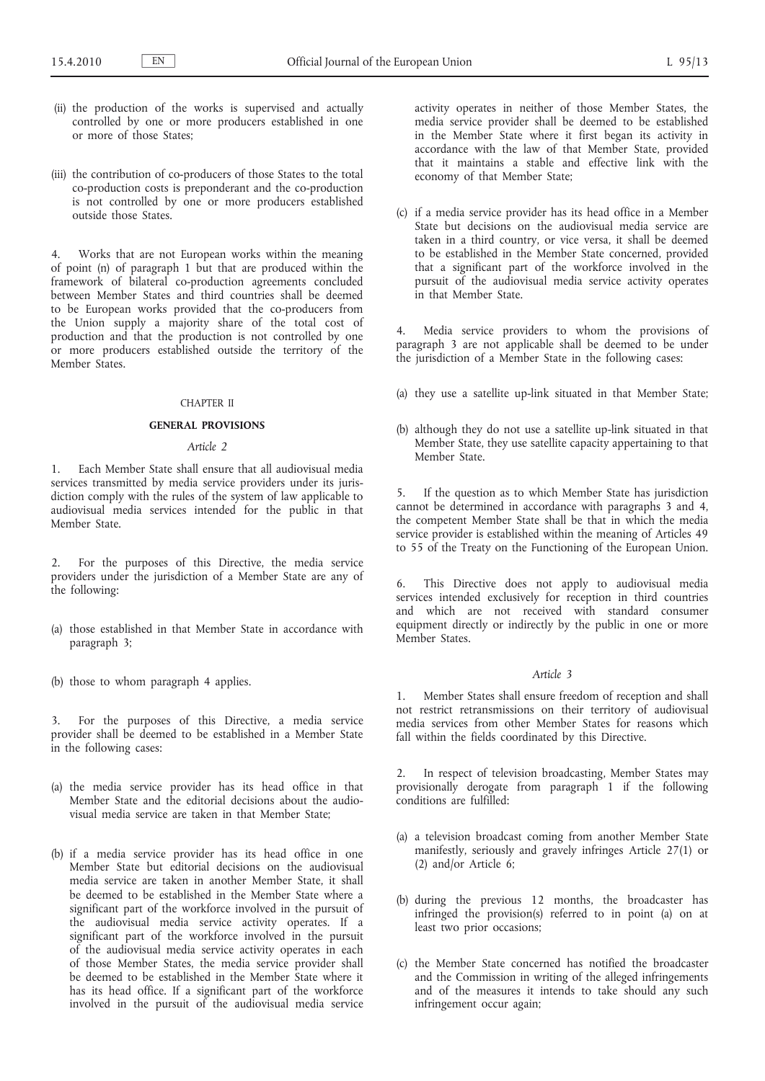- (ii) the production of the works is supervised and actually controlled by one or more producers established in one or more of those States;
- (iii) the contribution of co-producers of those States to the total co-production costs is preponderant and the co-production is not controlled by one or more producers established outside those States.

Works that are not European works within the meaning of point (n) of paragraph 1 but that are produced within the framework of bilateral co-production agreements concluded between Member States and third countries shall be deemed to be European works provided that the co-producers from the Union supply a majority share of the total cost of production and that the production is not controlled by one or more producers established outside the territory of the Member States.

#### CHAPTER II

### **GENERAL PROVISIONS**

#### *Article 2*

1. Each Member State shall ensure that all audiovisual media services transmitted by media service providers under its jurisdiction comply with the rules of the system of law applicable to audiovisual media services intended for the public in that Member State.

2. For the purposes of this Directive, the media service providers under the jurisdiction of a Member State are any of the following:

- (a) those established in that Member State in accordance with paragraph 3;
- (b) those to whom paragraph 4 applies.

3. For the purposes of this Directive, a media service provider shall be deemed to be established in a Member State in the following cases:

- (a) the media service provider has its head office in that Member State and the editorial decisions about the audiovisual media service are taken in that Member State;
- (b) if a media service provider has its head office in one Member State but editorial decisions on the audiovisual media service are taken in another Member State, it shall be deemed to be established in the Member State where a significant part of the workforce involved in the pursuit of the audiovisual media service activity operates. If a significant part of the workforce involved in the pursuit of the audiovisual media service activity operates in each of those Member States, the media service provider shall be deemed to be established in the Member State where it has its head office. If a significant part of the workforce involved in the pursuit of the audiovisual media service

activity operates in neither of those Member States, the media service provider shall be deemed to be established in the Member State where it first began its activity in accordance with the law of that Member State, provided that it maintains a stable and effective link with the economy of that Member State;

(c) if a media service provider has its head office in a Member State but decisions on the audiovisual media service are taken in a third country, or vice versa, it shall be deemed to be established in the Member State concerned, provided that a significant part of the workforce involved in the pursuit of the audiovisual media service activity operates in that Member State.

Media service providers to whom the provisions of paragraph 3 are not applicable shall be deemed to be under the jurisdiction of a Member State in the following cases:

(a) they use a satellite up-link situated in that Member State;

(b) although they do not use a satellite up-link situated in that Member State, they use satellite capacity appertaining to that Member State.

5. If the question as to which Member State has jurisdiction cannot be determined in accordance with paragraphs 3 and 4, the competent Member State shall be that in which the media service provider is established within the meaning of Articles 49 to 55 of the Treaty on the Functioning of the European Union.

6. This Directive does not apply to audiovisual media services intended exclusively for reception in third countries and which are not received with standard consumer equipment directly or indirectly by the public in one or more Member States.

## *Article 3*

1. Member States shall ensure freedom of reception and shall not restrict retransmissions on their territory of audiovisual media services from other Member States for reasons which fall within the fields coordinated by this Directive.

2. In respect of television broadcasting, Member States may provisionally derogate from paragraph 1 if the following conditions are fulfilled:

- (a) a television broadcast coming from another Member State manifestly, seriously and gravely infringes Article 27(1) or (2) and/or Article 6;
- (b) during the previous 12 months, the broadcaster has infringed the provision(s) referred to in point (a) on at least two prior occasions;
- (c) the Member State concerned has notified the broadcaster and the Commission in writing of the alleged infringements and of the measures it intends to take should any such infringement occur again;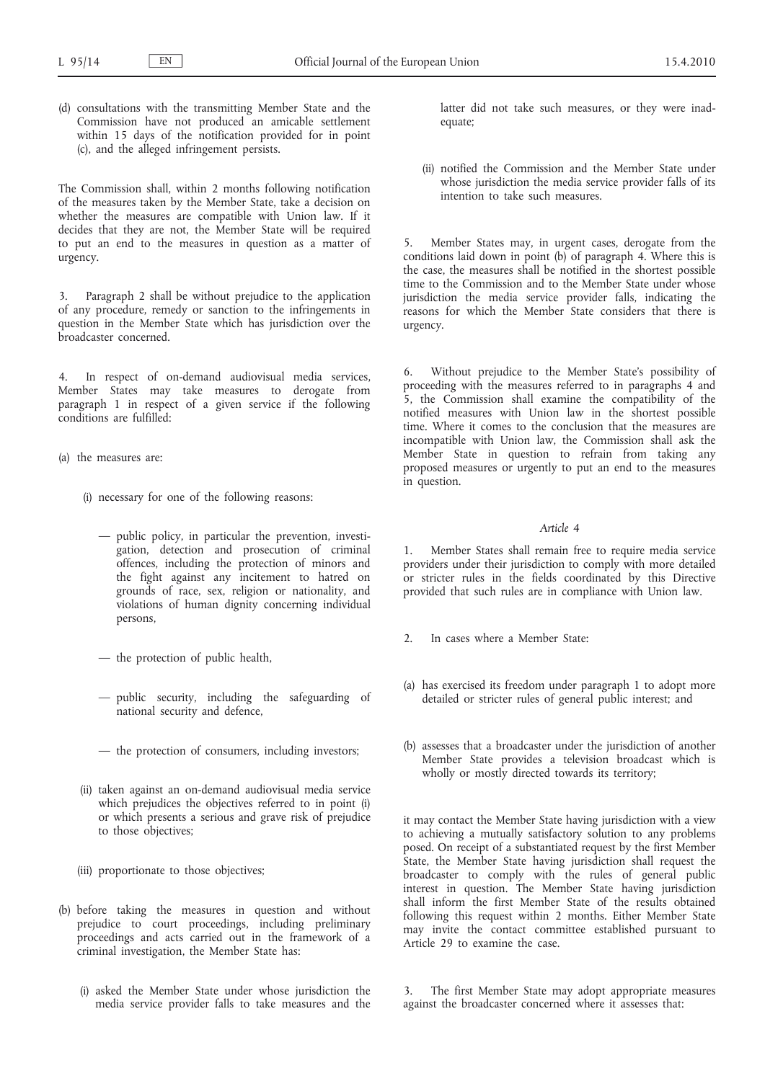(d) consultations with the transmitting Member State and the Commission have not produced an amicable settlement within 15 days of the notification provided for in point (c), and the alleged infringement persists.

The Commission shall, within 2 months following notification of the measures taken by the Member State, take a decision on whether the measures are compatible with Union law. If it decides that they are not, the Member State will be required to put an end to the measures in question as a matter of urgency.

3. Paragraph 2 shall be without prejudice to the application of any procedure, remedy or sanction to the infringements in question in the Member State which has jurisdiction over the broadcaster concerned.

4. In respect of on-demand audiovisual media services, Member States may take measures to derogate from paragraph 1 in respect of a given service if the following conditions are fulfilled:

- (a) the measures are:
	- (i) necessary for one of the following reasons:
		- public policy, in particular the prevention, investigation, detection and prosecution of criminal offences, including the protection of minors and the fight against any incitement to hatred on grounds of race, sex, religion or nationality, and violations of human dignity concerning individual persons,
		- the protection of public health,
		- public security, including the safeguarding of national security and defence,
		- the protection of consumers, including investors;
	- (ii) taken against an on-demand audiovisual media service which prejudices the objectives referred to in point (i) or which presents a serious and grave risk of prejudice to those objectives;
	- (iii) proportionate to those objectives;
- (b) before taking the measures in question and without prejudice to court proceedings, including preliminary proceedings and acts carried out in the framework of a criminal investigation, the Member State has:
	- (i) asked the Member State under whose jurisdiction the media service provider falls to take measures and the

latter did not take such measures, or they were inadequate;

(ii) notified the Commission and the Member State under whose jurisdiction the media service provider falls of its intention to take such measures.

5. Member States may, in urgent cases, derogate from the conditions laid down in point (b) of paragraph 4. Where this is the case, the measures shall be notified in the shortest possible time to the Commission and to the Member State under whose jurisdiction the media service provider falls, indicating the reasons for which the Member State considers that there is urgency.

6. Without prejudice to the Member State's possibility of proceeding with the measures referred to in paragraphs 4 and 5, the Commission shall examine the compatibility of the notified measures with Union law in the shortest possible time. Where it comes to the conclusion that the measures are incompatible with Union law, the Commission shall ask the Member State in question to refrain from taking any proposed measures or urgently to put an end to the measures in question.

## *Article 4*

Member States shall remain free to require media service providers under their jurisdiction to comply with more detailed or stricter rules in the fields coordinated by this Directive provided that such rules are in compliance with Union law.

- 2. In cases where a Member State:
- (a) has exercised its freedom under paragraph 1 to adopt more detailed or stricter rules of general public interest; and
- (b) assesses that a broadcaster under the jurisdiction of another Member State provides a television broadcast which is wholly or mostly directed towards its territory;

it may contact the Member State having jurisdiction with a view to achieving a mutually satisfactory solution to any problems posed. On receipt of a substantiated request by the first Member State, the Member State having jurisdiction shall request the broadcaster to comply with the rules of general public interest in question. The Member State having jurisdiction shall inform the first Member State of the results obtained following this request within 2 months. Either Member State may invite the contact committee established pursuant to Article 29 to examine the case.

The first Member State may adopt appropriate measures against the broadcaster concerned where it assesses that: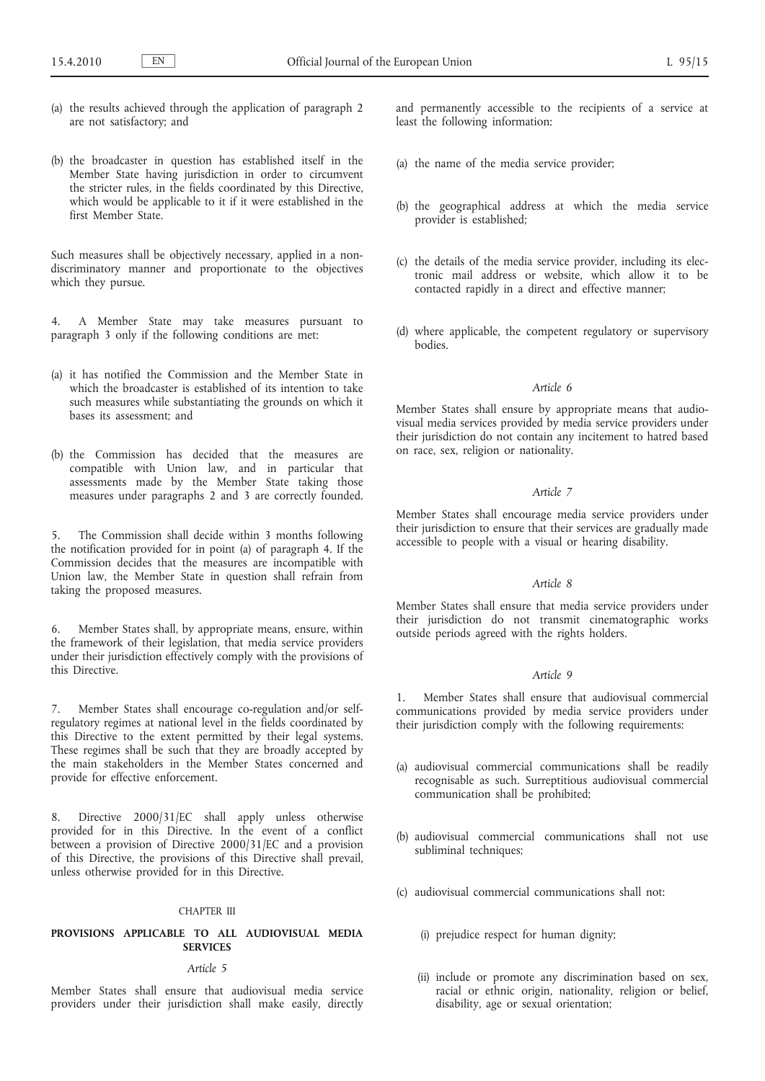- (a) the results achieved through the application of paragraph 2 are not satisfactory; and
- (b) the broadcaster in question has established itself in the Member State having jurisdiction in order to circumvent the stricter rules, in the fields coordinated by this Directive, which would be applicable to it if it were established in the first Member State.

Such measures shall be objectively necessary, applied in a nondiscriminatory manner and proportionate to the objectives which they pursue.

4. A Member State may take measures pursuant to paragraph 3 only if the following conditions are met:

- (a) it has notified the Commission and the Member State in which the broadcaster is established of its intention to take such measures while substantiating the grounds on which it bases its assessment; and
- (b) the Commission has decided that the measures are compatible with Union law, and in particular that assessments made by the Member State taking those measures under paragraphs 2 and 3 are correctly founded.

5. The Commission shall decide within 3 months following the notification provided for in point (a) of paragraph 4. If the Commission decides that the measures are incompatible with Union law, the Member State in question shall refrain from taking the proposed measures.

6. Member States shall, by appropriate means, ensure, within the framework of their legislation, that media service providers under their jurisdiction effectively comply with the provisions of this Directive.

7. Member States shall encourage co-regulation and/or selfregulatory regimes at national level in the fields coordinated by this Directive to the extent permitted by their legal systems. These regimes shall be such that they are broadly accepted by the main stakeholders in the Member States concerned and provide for effective enforcement.

8. Directive 2000/31/EC shall apply unless otherwise provided for in this Directive. In the event of a conflict between a provision of Directive 2000/31/EC and a provision of this Directive, the provisions of this Directive shall prevail, unless otherwise provided for in this Directive.

### CHAPTER III

# **PROVISIONS APPLICABLE TO ALL AUDIOVISUAL MEDIA SERVICES**

# *Article 5*

Member States shall ensure that audiovisual media service providers under their jurisdiction shall make easily, directly and permanently accessible to the recipients of a service at least the following information:

- (a) the name of the media service provider;
- (b) the geographical address at which the media service provider is established;
- (c) the details of the media service provider, including its electronic mail address or website, which allow it to be contacted rapidly in a direct and effective manner;
- (d) where applicable, the competent regulatory or supervisory bodies.

# *Article 6*

Member States shall ensure by appropriate means that audiovisual media services provided by media service providers under their jurisdiction do not contain any incitement to hatred based on race, sex, religion or nationality.

### *Article 7*

Member States shall encourage media service providers under their jurisdiction to ensure that their services are gradually made accessible to people with a visual or hearing disability.

# *Article 8*

Member States shall ensure that media service providers under their jurisdiction do not transmit cinematographic works outside periods agreed with the rights holders.

#### *Article 9*

1. Member States shall ensure that audiovisual commercial communications provided by media service providers under their jurisdiction comply with the following requirements:

- (a) audiovisual commercial communications shall be readily recognisable as such. Surreptitious audiovisual commercial communication shall be prohibited;
- (b) audiovisual commercial communications shall not use subliminal techniques;
- (c) audiovisual commercial communications shall not:
	- (i) prejudice respect for human dignity;
	- (ii) include or promote any discrimination based on sex, racial or ethnic origin, nationality, religion or belief, disability, age or sexual orientation;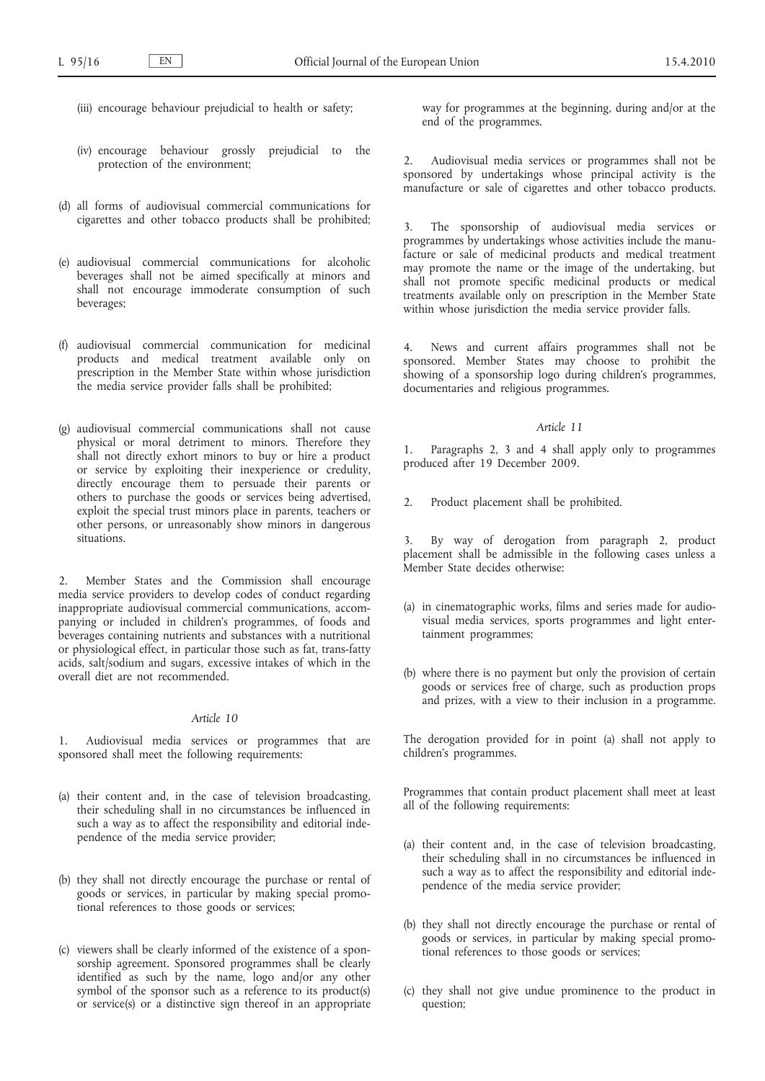- (iii) encourage behaviour prejudicial to health or safety;
- (iv) encourage behaviour grossly prejudicial to the protection of the environment;
- (d) all forms of audiovisual commercial communications for cigarettes and other tobacco products shall be prohibited;
- (e) audiovisual commercial communications for alcoholic beverages shall not be aimed specifically at minors and shall not encourage immoderate consumption of such beverages;
- (f) audiovisual commercial communication for medicinal products and medical treatment available only on prescription in the Member State within whose jurisdiction the media service provider falls shall be prohibited;
- (g) audiovisual commercial communications shall not cause physical or moral detriment to minors. Therefore they shall not directly exhort minors to buy or hire a product or service by exploiting their inexperience or credulity, directly encourage them to persuade their parents or others to purchase the goods or services being advertised, exploit the special trust minors place in parents, teachers or other persons, or unreasonably show minors in dangerous situations.

2. Member States and the Commission shall encourage media service providers to develop codes of conduct regarding inappropriate audiovisual commercial communications, accompanying or included in children's programmes, of foods and beverages containing nutrients and substances with a nutritional or physiological effect, in particular those such as fat, trans-fatty acids, salt/sodium and sugars, excessive intakes of which in the overall diet are not recommended.

## *Article 10*

1. Audiovisual media services or programmes that are sponsored shall meet the following requirements:

- (a) their content and, in the case of television broadcasting, their scheduling shall in no circumstances be influenced in such a way as to affect the responsibility and editorial independence of the media service provider;
- (b) they shall not directly encourage the purchase or rental of goods or services, in particular by making special promotional references to those goods or services;
- (c) viewers shall be clearly informed of the existence of a sponsorship agreement. Sponsored programmes shall be clearly identified as such by the name, logo and/or any other symbol of the sponsor such as a reference to its product(s) or service(s) or a distinctive sign thereof in an appropriate

way for programmes at the beginning, during and/or at the end of the programmes.

2. Audiovisual media services or programmes shall not be sponsored by undertakings whose principal activity is the manufacture or sale of cigarettes and other tobacco products.

The sponsorship of audiovisual media services or programmes by undertakings whose activities include the manufacture or sale of medicinal products and medical treatment may promote the name or the image of the undertaking, but shall not promote specific medicinal products or medical treatments available only on prescription in the Member State within whose jurisdiction the media service provider falls.

4. News and current affairs programmes shall not be sponsored. Member States may choose to prohibit the showing of a sponsorship logo during children's programmes, documentaries and religious programmes.

## *Article 11*

1. Paragraphs 2, 3 and 4 shall apply only to programmes produced after 19 December 2009.

2. Product placement shall be prohibited.

By way of derogation from paragraph 2, product placement shall be admissible in the following cases unless a Member State decides otherwise:

- (a) in cinematographic works, films and series made for audiovisual media services, sports programmes and light entertainment programmes;
- (b) where there is no payment but only the provision of certain goods or services free of charge, such as production props and prizes, with a view to their inclusion in a programme.

The derogation provided for in point (a) shall not apply to children's programmes.

Programmes that contain product placement shall meet at least all of the following requirements:

- (a) their content and, in the case of television broadcasting, their scheduling shall in no circumstances be influenced in such a way as to affect the responsibility and editorial independence of the media service provider;
- (b) they shall not directly encourage the purchase or rental of goods or services, in particular by making special promotional references to those goods or services;
- (c) they shall not give undue prominence to the product in question;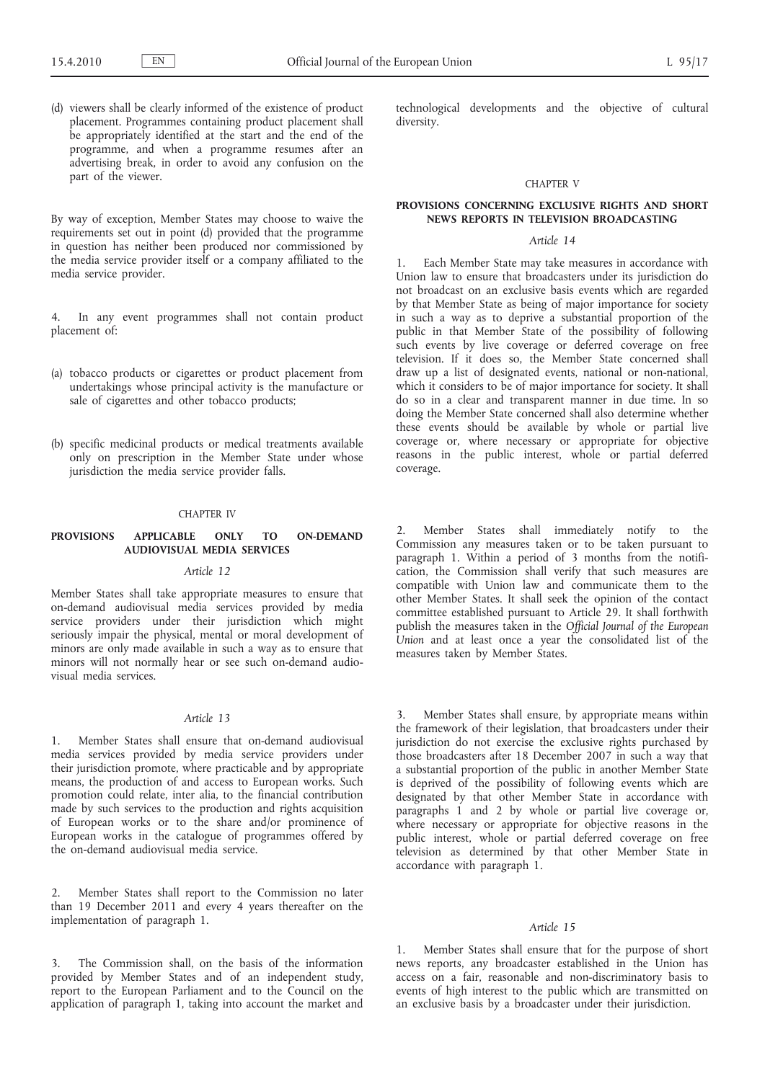(d) viewers shall be clearly informed of the existence of product placement. Programmes containing product placement shall be appropriately identified at the start and the end of the programme, and when a programme resumes after an advertising break, in order to avoid any confusion on the part of the viewer.

By way of exception, Member States may choose to waive the requirements set out in point (d) provided that the programme in question has neither been produced nor commissioned by the media service provider itself or a company affiliated to the media service provider.

4. In any event programmes shall not contain product placement of:

- (a) tobacco products or cigarettes or product placement from undertakings whose principal activity is the manufacture or sale of cigarettes and other tobacco products;
- (b) specific medicinal products or medical treatments available only on prescription in the Member State under whose jurisdiction the media service provider falls.

## CHAPTER IV

#### **PROVISIONS APPLICABLE ONLY TO ON-DEMAND AUDIOVISUAL MEDIA SERVICES**

## *Article 12*

Member States shall take appropriate measures to ensure that on-demand audiovisual media services provided by media service providers under their jurisdiction which might seriously impair the physical, mental or moral development of minors are only made available in such a way as to ensure that minors will not normally hear or see such on-demand audiovisual media services.

#### *Article 13*

1. Member States shall ensure that on-demand audiovisual media services provided by media service providers under their jurisdiction promote, where practicable and by appropriate means, the production of and access to European works. Such promotion could relate, inter alia, to the financial contribution made by such services to the production and rights acquisition of European works or to the share and/or prominence of European works in the catalogue of programmes offered by the on-demand audiovisual media service.

2. Member States shall report to the Commission no later than 19 December 2011 and every 4 years thereafter on the implementation of paragraph 1.

3. The Commission shall, on the basis of the information provided by Member States and of an independent study, report to the European Parliament and to the Council on the application of paragraph 1, taking into account the market and technological developments and the objective of cultural diversity.

#### CHAPTER V

# **PROVISIONS CONCERNING EXCLUSIVE RIGHTS AND SHORT NEWS REPORTS IN TELEVISION BROADCASTING**

#### *Article 14*

Each Member State may take measures in accordance with Union law to ensure that broadcasters under its jurisdiction do not broadcast on an exclusive basis events which are regarded by that Member State as being of major importance for society in such a way as to deprive a substantial proportion of the public in that Member State of the possibility of following such events by live coverage or deferred coverage on free television. If it does so, the Member State concerned shall draw up a list of designated events, national or non-national, which it considers to be of major importance for society. It shall do so in a clear and transparent manner in due time. In so doing the Member State concerned shall also determine whether these events should be available by whole or partial live coverage or, where necessary or appropriate for objective reasons in the public interest, whole or partial deferred coverage.

2. Member States shall immediately notify to the Commission any measures taken or to be taken pursuant to paragraph 1. Within a period of 3 months from the notification, the Commission shall verify that such measures are compatible with Union law and communicate them to the other Member States. It shall seek the opinion of the contact committee established pursuant to Article 29. It shall forthwith publish the measures taken in the *Official Journal of the European Union* and at least once a year the consolidated list of the measures taken by Member States.

3. Member States shall ensure, by appropriate means within the framework of their legislation, that broadcasters under their jurisdiction do not exercise the exclusive rights purchased by those broadcasters after 18 December 2007 in such a way that a substantial proportion of the public in another Member State is deprived of the possibility of following events which are designated by that other Member State in accordance with paragraphs 1 and 2 by whole or partial live coverage or, where necessary or appropriate for objective reasons in the public interest, whole or partial deferred coverage on free television as determined by that other Member State in accordance with paragraph 1.

### *Article 15*

1. Member States shall ensure that for the purpose of short news reports, any broadcaster established in the Union has access on a fair, reasonable and non-discriminatory basis to events of high interest to the public which are transmitted on an exclusive basis by a broadcaster under their jurisdiction.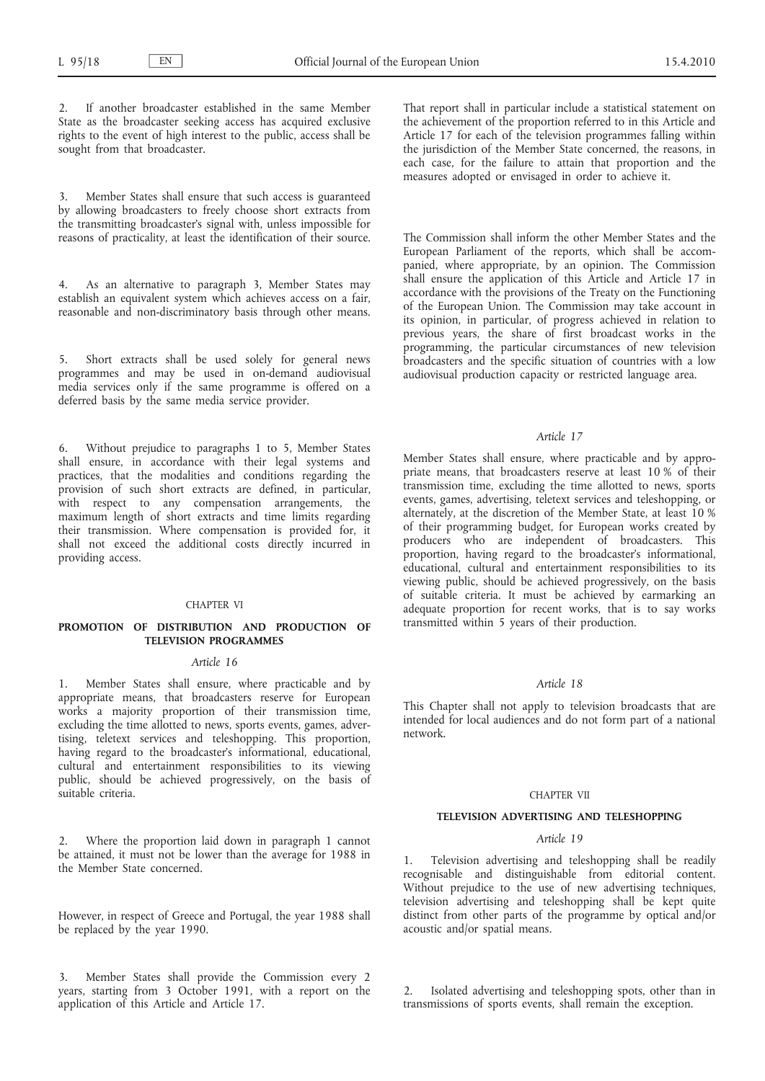If another broadcaster established in the same Member State as the broadcaster seeking access has acquired exclusive rights to the event of high interest to the public, access shall be sought from that broadcaster.

3. Member States shall ensure that such access is guaranteed by allowing broadcasters to freely choose short extracts from the transmitting broadcaster's signal with, unless impossible for reasons of practicality, at least the identification of their source.

4. As an alternative to paragraph 3, Member States may establish an equivalent system which achieves access on a fair, reasonable and non-discriminatory basis through other means.

5. Short extracts shall be used solely for general news programmes and may be used in on-demand audiovisual media services only if the same programme is offered on a deferred basis by the same media service provider.

6. Without prejudice to paragraphs 1 to 5, Member States shall ensure, in accordance with their legal systems and practices, that the modalities and conditions regarding the provision of such short extracts are defined, in particular, with respect to any compensation arrangements, the maximum length of short extracts and time limits regarding their transmission. Where compensation is provided for, it shall not exceed the additional costs directly incurred in providing access.

#### CHAPTER VI

# **PROMOTION OF DISTRIBUTION AND PRODUCTION OF TELEVISION PROGRAMMES**

#### *Article 16*

1. Member States shall ensure, where practicable and by appropriate means, that broadcasters reserve for European works a majority proportion of their transmission time, excluding the time allotted to news, sports events, games, advertising, teletext services and teleshopping. This proportion, having regard to the broadcaster's informational, educational, cultural and entertainment responsibilities to its viewing public, should be achieved progressively, on the basis of suitable criteria.

2. Where the proportion laid down in paragraph 1 cannot be attained, it must not be lower than the average for 1988 in the Member State concerned.

However, in respect of Greece and Portugal, the year 1988 shall be replaced by the year 1990.

Member States shall provide the Commission every 2 years, starting from 3 October 1991, with a report on the application of this Article and Article 17.

That report shall in particular include a statistical statement on the achievement of the proportion referred to in this Article and Article 17 for each of the television programmes falling within the jurisdiction of the Member State concerned, the reasons, in each case, for the failure to attain that proportion and the measures adopted or envisaged in order to achieve it.

The Commission shall inform the other Member States and the European Parliament of the reports, which shall be accompanied, where appropriate, by an opinion. The Commission shall ensure the application of this Article and Article 17 in accordance with the provisions of the Treaty on the Functioning of the European Union. The Commission may take account in its opinion, in particular, of progress achieved in relation to previous years, the share of first broadcast works in the programming, the particular circumstances of new television broadcasters and the specific situation of countries with a low audiovisual production capacity or restricted language area.

## *Article 17*

Member States shall ensure, where practicable and by appropriate means, that broadcasters reserve at least 10 % of their transmission time, excluding the time allotted to news, sports events, games, advertising, teletext services and teleshopping, or alternately, at the discretion of the Member State, at least 10 % of their programming budget, for European works created by producers who are independent of broadcasters. This proportion, having regard to the broadcaster's informational, educational, cultural and entertainment responsibilities to its viewing public, should be achieved progressively, on the basis of suitable criteria. It must be achieved by earmarking an adequate proportion for recent works, that is to say works transmitted within 5 years of their production.

#### *Article 18*

This Chapter shall not apply to television broadcasts that are intended for local audiences and do not form part of a national network.

# CHAPTER VII

#### **TELEVISION ADVERTISING AND TELESHOPPING**

# *Article 19*

1. Television advertising and teleshopping shall be readily recognisable and distinguishable from editorial content. Without prejudice to the use of new advertising techniques, television advertising and teleshopping shall be kept quite distinct from other parts of the programme by optical and/or acoustic and/or spatial means.

Isolated advertising and teleshopping spots, other than in transmissions of sports events, shall remain the exception.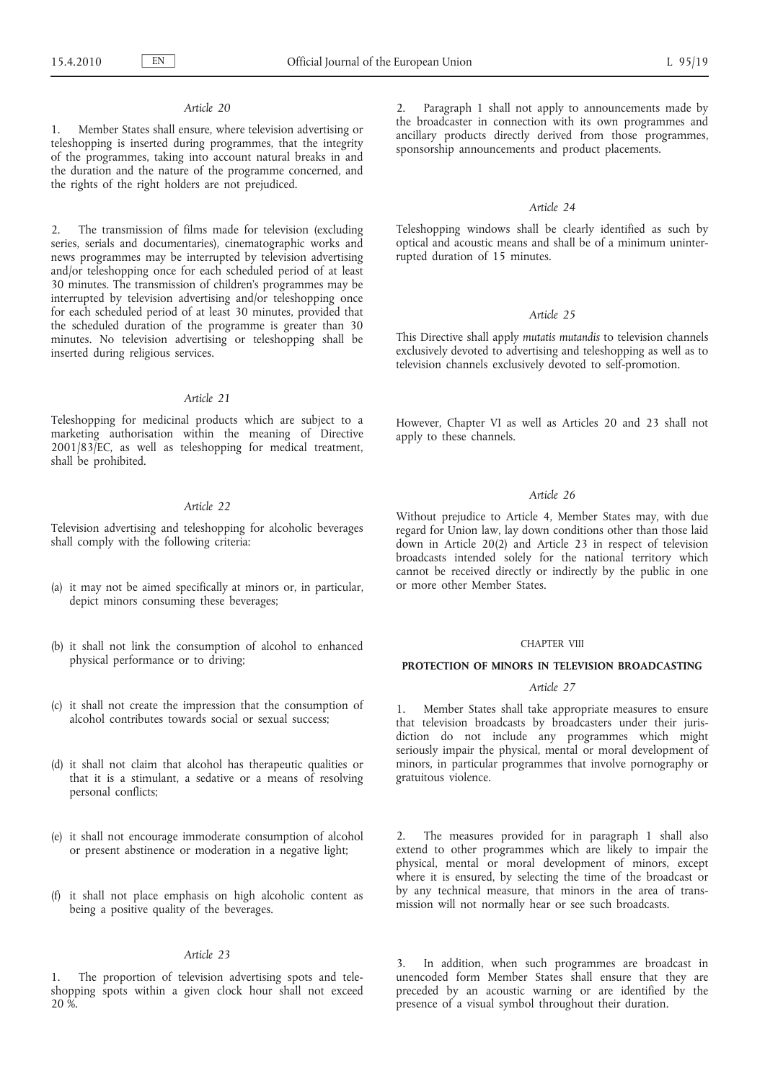#### *Article 20*

1. Member States shall ensure, where television advertising or teleshopping is inserted during programmes, that the integrity of the programmes, taking into account natural breaks in and the duration and the nature of the programme concerned, and the rights of the right holders are not prejudiced.

2. The transmission of films made for television (excluding series, serials and documentaries), cinematographic works and news programmes may be interrupted by television advertising and/or teleshopping once for each scheduled period of at least 30 minutes. The transmission of children's programmes may be interrupted by television advertising and/or teleshopping once for each scheduled period of at least 30 minutes, provided that the scheduled duration of the programme is greater than 30 minutes. No television advertising or teleshopping shall be inserted during religious services.

### *Article 21*

Teleshopping for medicinal products which are subject to a marketing authorisation within the meaning of Directive 2001/83/EC, as well as teleshopping for medical treatment, shall be prohibited.

## *Article 22*

Television advertising and teleshopping for alcoholic beverages shall comply with the following criteria:

- (a) it may not be aimed specifically at minors or, in particular, depict minors consuming these beverages;
- (b) it shall not link the consumption of alcohol to enhanced physical performance or to driving;
- (c) it shall not create the impression that the consumption of alcohol contributes towards social or sexual success;
- (d) it shall not claim that alcohol has therapeutic qualities or that it is a stimulant, a sedative or a means of resolving personal conflicts;
- (e) it shall not encourage immoderate consumption of alcohol or present abstinence or moderation in a negative light;
- (f) it shall not place emphasis on high alcoholic content as being a positive quality of the beverages.

## *Article 23*

1. The proportion of television advertising spots and teleshopping spots within a given clock hour shall not exceed 20 %.

Paragraph 1 shall not apply to announcements made by the broadcaster in connection with its own programmes and ancillary products directly derived from those programmes, sponsorship announcements and product placements.

## *Article 24*

Teleshopping windows shall be clearly identified as such by optical and acoustic means and shall be of a minimum uninterrupted duration of 15 minutes.

#### *Article 25*

This Directive shall apply *mutatis mutandis* to television channels exclusively devoted to advertising and teleshopping as well as to television channels exclusively devoted to self-promotion.

However, Chapter VI as well as Articles 20 and 23 shall not apply to these channels.

## *Article 26*

Without prejudice to Article 4, Member States may, with due regard for Union law, lay down conditions other than those laid down in Article 20(2) and Article 23 in respect of television broadcasts intended solely for the national territory which cannot be received directly or indirectly by the public in one or more other Member States.

#### CHAPTER VIII

#### **PROTECTION OF MINORS IN TELEVISION BROADCASTING**

#### *Article 27*

1. Member States shall take appropriate measures to ensure that television broadcasts by broadcasters under their jurisdiction do not include any programmes which might seriously impair the physical, mental or moral development of minors, in particular programmes that involve pornography or gratuitous violence.

2. The measures provided for in paragraph 1 shall also extend to other programmes which are likely to impair the physical, mental or moral development of minors, except where it is ensured, by selecting the time of the broadcast or by any technical measure, that minors in the area of transmission will not normally hear or see such broadcasts.

3. In addition, when such programmes are broadcast in unencoded form Member States shall ensure that they are preceded by an acoustic warning or are identified by the presence of a visual symbol throughout their duration.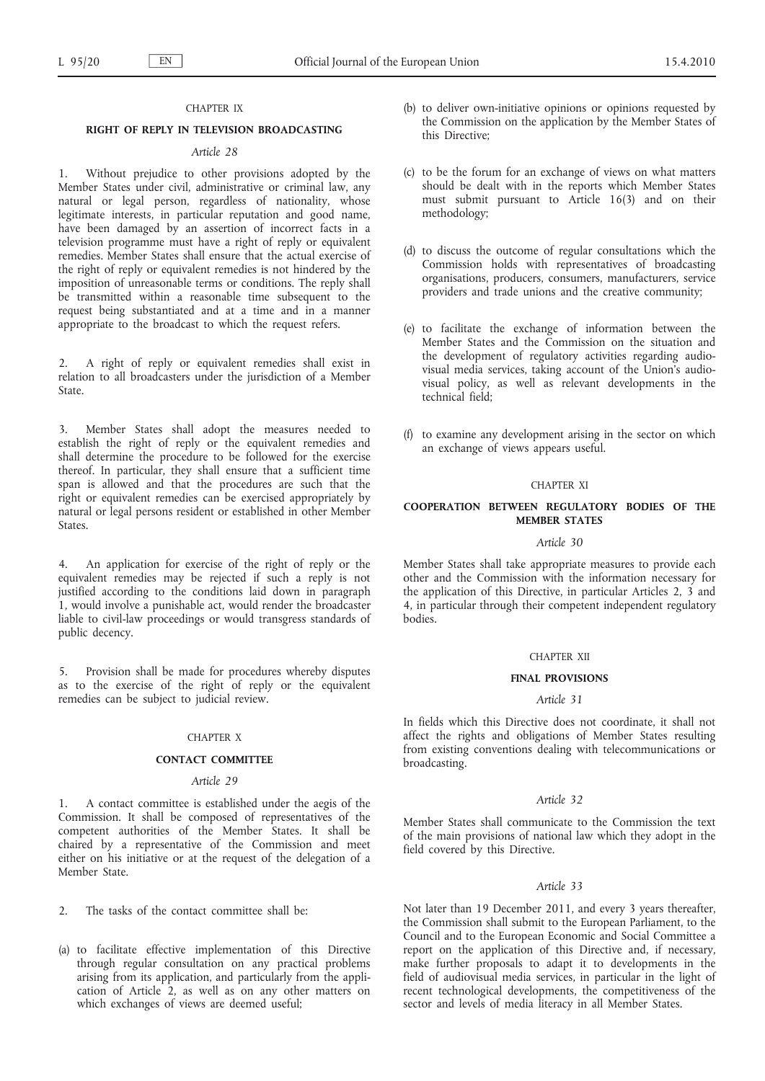## CHAPTER IX

# **RIGHT OF REPLY IN TELEVISION BROADCASTING**

## *Article 28*

1. Without prejudice to other provisions adopted by the Member States under civil, administrative or criminal law, any natural or legal person, regardless of nationality, whose legitimate interests, in particular reputation and good name, have been damaged by an assertion of incorrect facts in a television programme must have a right of reply or equivalent remedies. Member States shall ensure that the actual exercise of the right of reply or equivalent remedies is not hindered by the imposition of unreasonable terms or conditions. The reply shall be transmitted within a reasonable time subsequent to the request being substantiated and at a time and in a manner appropriate to the broadcast to which the request refers.

2. A right of reply or equivalent remedies shall exist in relation to all broadcasters under the jurisdiction of a Member State.

3. Member States shall adopt the measures needed to establish the right of reply or the equivalent remedies and shall determine the procedure to be followed for the exercise thereof. In particular, they shall ensure that a sufficient time span is allowed and that the procedures are such that the right or equivalent remedies can be exercised appropriately by natural or legal persons resident or established in other Member States.

4. An application for exercise of the right of reply or the equivalent remedies may be rejected if such a reply is not justified according to the conditions laid down in paragraph 1, would involve a punishable act, would render the broadcaster liable to civil-law proceedings or would transgress standards of public decency.

5. Provision shall be made for procedures whereby disputes as to the exercise of the right of reply or the equivalent remedies can be subject to judicial review.

#### CHAPTER X

#### **CONTACT COMMITTEE**

### *Article 29*

1. A contact committee is established under the aegis of the Commission. It shall be composed of representatives of the competent authorities of the Member States. It shall be chaired by a representative of the Commission and meet either on his initiative or at the request of the delegation of a Member State.

2. The tasks of the contact committee shall be:

(a) to facilitate effective implementation of this Directive through regular consultation on any practical problems arising from its application, and particularly from the application of Article 2, as well as on any other matters on which exchanges of views are deemed useful;

- (b) to deliver own-initiative opinions or opinions requested by the Commission on the application by the Member States of this Directive;
- (c) to be the forum for an exchange of views on what matters should be dealt with in the reports which Member States must submit pursuant to Article 16(3) and on their methodology;
- (d) to discuss the outcome of regular consultations which the Commission holds with representatives of broadcasting organisations, producers, consumers, manufacturers, service providers and trade unions and the creative community;
- (e) to facilitate the exchange of information between the Member States and the Commission on the situation and the development of regulatory activities regarding audiovisual media services, taking account of the Union's audiovisual policy, as well as relevant developments in the technical field;
- (f) to examine any development arising in the sector on which an exchange of views appears useful.

### CHAPTER XI

## **COOPERATION BETWEEN REGULATORY BODIES OF THE MEMBER STATES**

## *Article 30*

Member States shall take appropriate measures to provide each other and the Commission with the information necessary for the application of this Directive, in particular Articles 2, 3 and 4, in particular through their competent independent regulatory bodies.

#### CHAPTER XII

#### **FINAL PROVISIONS**

### *Article 31*

In fields which this Directive does not coordinate, it shall not affect the rights and obligations of Member States resulting from existing conventions dealing with telecommunications or broadcasting.

#### *Article 32*

Member States shall communicate to the Commission the text of the main provisions of national law which they adopt in the field covered by this Directive.

#### *Article 33*

Not later than 19 December 2011, and every 3 years thereafter, the Commission shall submit to the European Parliament, to the Council and to the European Economic and Social Committee a report on the application of this Directive and, if necessary, make further proposals to adapt it to developments in the field of audiovisual media services, in particular in the light of recent technological developments, the competitiveness of the sector and levels of media literacy in all Member States.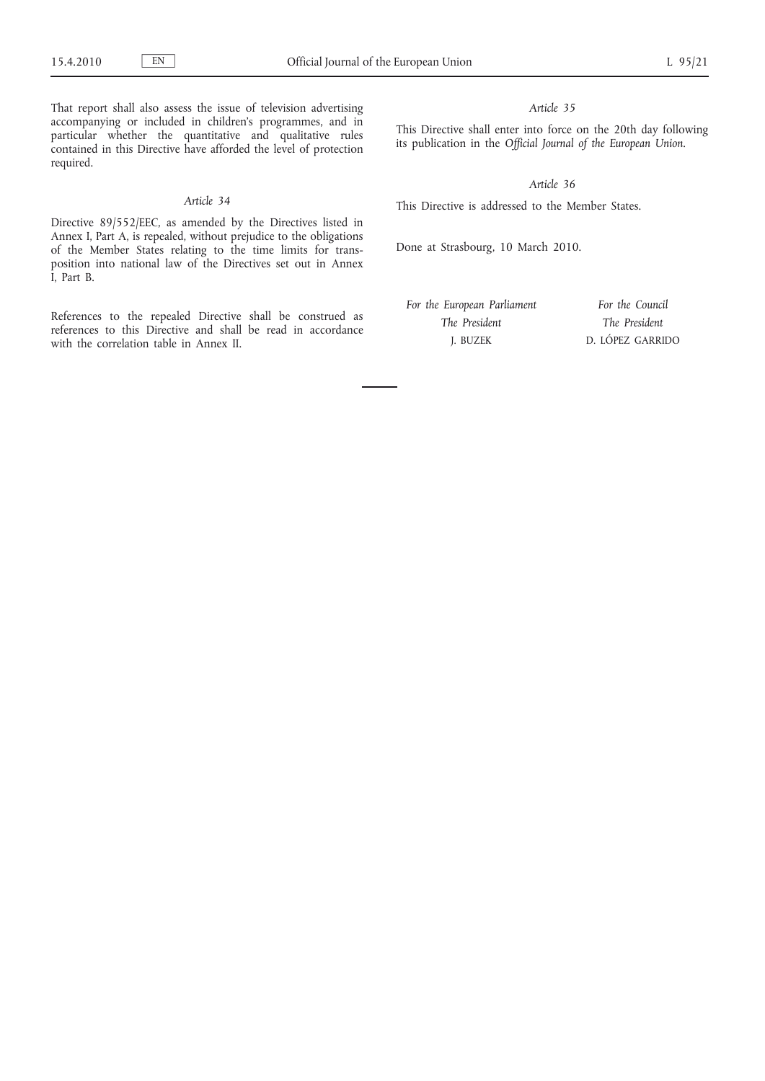That report shall also assess the issue of television advertising accompanying or included in children's programmes, and in particular whether the quantitative and qualitative rules contained in this Directive have afforded the level of protection required.

### *Article 34*

Directive 89/552/EEC, as amended by the Directives listed in Annex I, Part A, is repealed, without prejudice to the obligations of the Member States relating to the time limits for transposition into national law of the Directives set out in Annex I, Part B.

References to the repealed Directive shall be construed as references to this Directive and shall be read in accordance with the correlation table in Annex II.

*Article 35*

This Directive shall enter into force on the 20th day following its publication in the *Official Journal of the European Union*.

*Article 36*

This Directive is addressed to the Member States.

Done at Strasbourg, 10 March 2010.

*For the European Parliament The President* J. BUZEK

*For the Council The President* D. LÓPEZ GARRIDO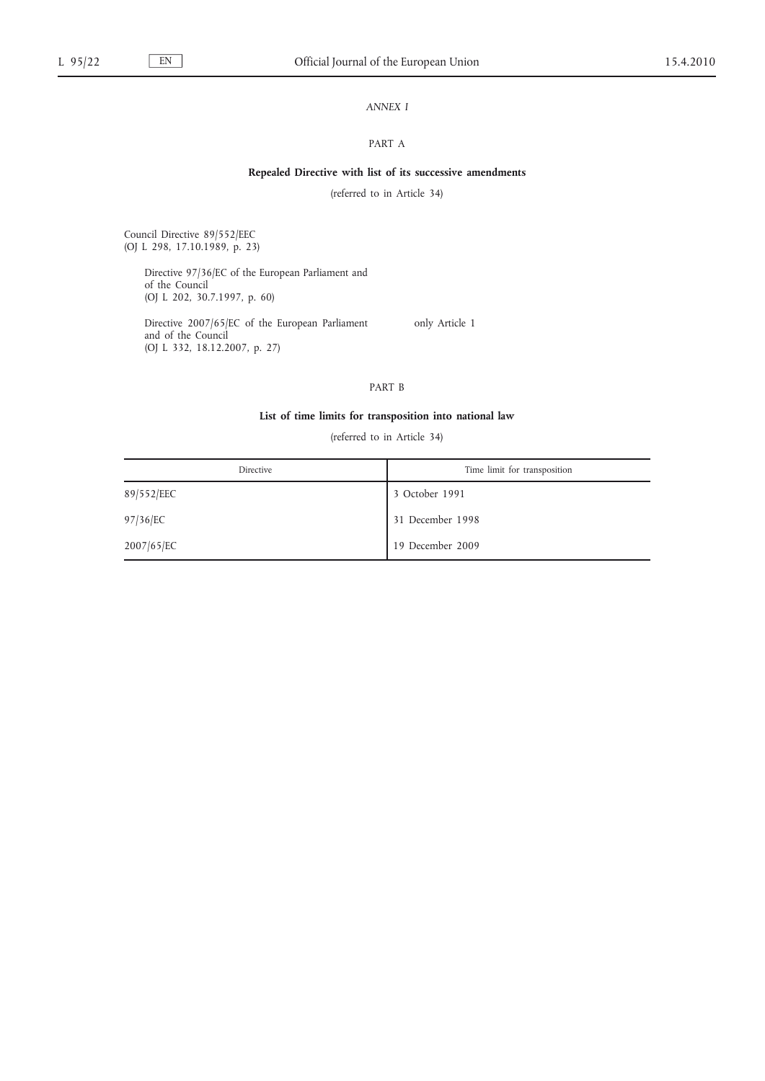# *ANNEX I*

### PART A

## **Repealed Directive with list of its successive amendments**

(referred to in Article 34)

Council Directive 89/552/EEC (OJ L 298, 17.10.1989, p. 23)

> Directive 97/36/EC of the European Parliament and of the Council (OJ L 202, 30.7.1997, p. 60)

Directive 2007/65/EC of the European Parliament and of the Council (OJ L 332, 18.12.2007, p. 27)

only Article 1

# PART B

# **List of time limits for transposition into national law**

## (referred to in Article 34)

| Directive  | Time limit for transposition |
|------------|------------------------------|
| 89/552/EEC | 3 October 1991               |
| 97/36/EC   | 31 December 1998             |
| 2007/65/EC | 19 December 2009             |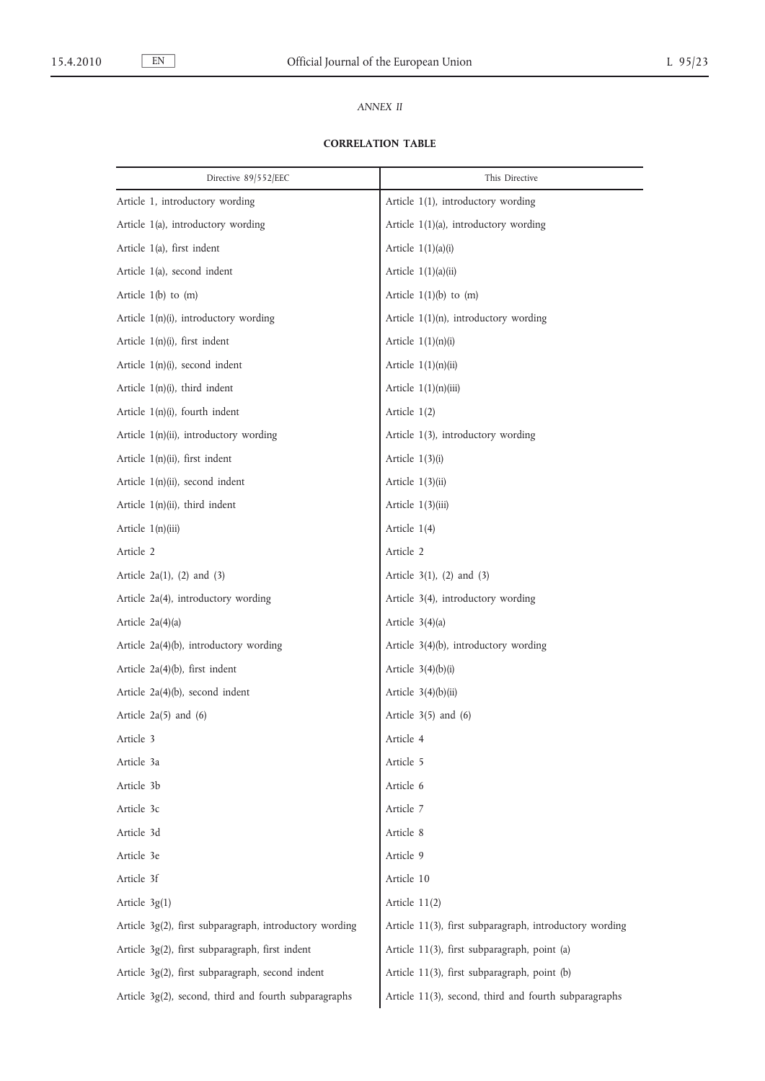# *ANNEX II*

# **CORRELATION TABLE**

| Directive 89/552/EEC                                    | This Directive                                          |
|---------------------------------------------------------|---------------------------------------------------------|
| Article 1, introductory wording                         | Article 1(1), introductory wording                      |
| Article 1(a), introductory wording                      | Article $1(1)(a)$ , introductory wording                |
| Article 1(a), first indent                              | Article $1(1)(a)(i)$                                    |
| Article 1(a), second indent                             | Article $1(1)(a)(ii)$                                   |
| Article $1(b)$ to $(m)$                                 | Article $1(1)(b)$ to $(m)$                              |
| Article $1(n)(i)$ , introductory wording                | Article $1(1)(n)$ , introductory wording                |
| Article $1(n)(i)$ , first indent                        | Article $1(1)(n)(i)$                                    |
| Article $1(n)(i)$ , second indent                       | Article $1(1)(n)(ii)$                                   |
| Article $1(n)(i)$ , third indent                        | Article $1(1)(n)(iii)$                                  |
| Article 1(n)(i), fourth indent                          | Article 1(2)                                            |
| Article 1(n)(ii), introductory wording                  | Article 1(3), introductory wording                      |
| Article $1(n)(ii)$ , first indent                       | Article $1(3)(i)$                                       |
| Article $1(n)(ii)$ , second indent                      | Article $1(3)(ii)$                                      |
| Article $1(n)(ii)$ , third indent                       | Article 1(3)(iii)                                       |
| Article $1(n)(iii)$                                     | Article 1(4)                                            |
| Article 2                                               | Article 2                                               |
| Article $2a(1)$ , (2) and (3)                           | Article $3(1)$ , $(2)$ and $(3)$                        |
| Article 2a(4), introductory wording                     | Article 3(4), introductory wording                      |
| Article $2a(4)(a)$                                      | Article $3(4)(a)$                                       |
| Article 2a(4)(b), introductory wording                  | Article $3(4)(b)$ , introductory wording                |
| Article $2a(4)(b)$ , first indent                       | Article $3(4)(b)(i)$                                    |
| Article $2a(4)(b)$ , second indent                      | Article 3(4)(b)(ii)                                     |
| Article $2a(5)$ and $(6)$                               | Article $3(5)$ and $(6)$                                |
| Article 3                                               | Article 4                                               |
| Article 3a                                              | Article 5                                               |
| Article 3b                                              | Article 6                                               |
| Article 3c                                              | Article 7                                               |
| Article 3d                                              | Article 8                                               |
| Article 3e                                              | Article 9                                               |
| Article 3f                                              | Article 10                                              |
| Article $3g(1)$                                         | Article $11(2)$                                         |
| Article 3g(2), first subparagraph, introductory wording | Article 11(3), first subparagraph, introductory wording |
| Article 3g(2), first subparagraph, first indent         | Article 11(3), first subparagraph, point (a)            |
| Article 3g(2), first subparagraph, second indent        | Article 11(3), first subparagraph, point (b)            |
| Article 3g(2), second, third and fourth subparagraphs   | Article 11(3), second, third and fourth subparagraphs   |